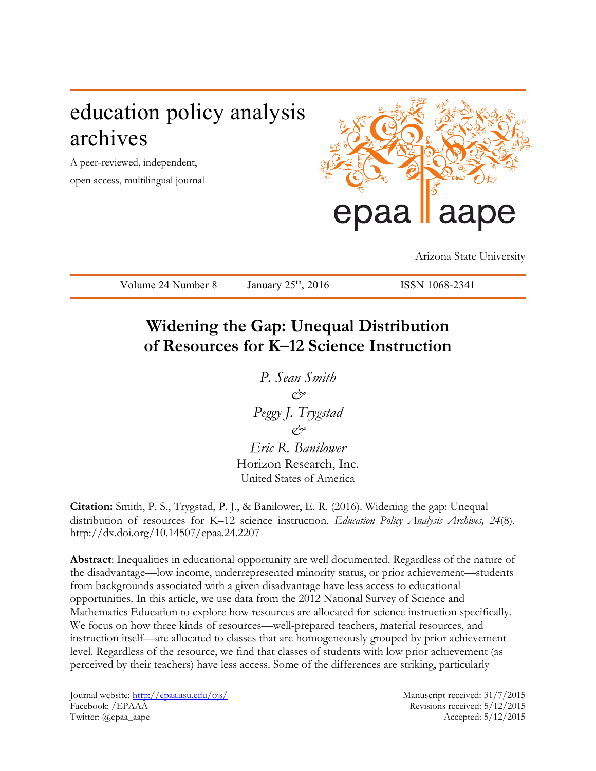# education policy analysis archives

A peer-reviewed, independent, open access, multilingual journal



Arizona State University

| Volume 24 Number 8 | January $25th$ , 2016 | ISSN 1068-2341 |
|--------------------|-----------------------|----------------|
|--------------------|-----------------------|----------------|

# **Widening the Gap: Unequal Distribution of Resources for K–12 Science Instruction**

*P. Sean Smith & Peggy J. Trygstad & Eric R. Banilower* 

Horizon Research, Inc. United States of America

**Citation:** Smith, P. S., Trygstad, P. J., & Banilower, E. R. (2016). Widening the gap: Unequal distribution of resources for K–12 science instruction. *Education Policy Analysis Archives, 24*(8). http://dx.doi.org/10.14507/epaa.24.2207

**Abstract**: Inequalities in educational opportunity are well documented. Regardless of the nature of the disadvantage—low income, underrepresented minority status, or prior achievement—students from backgrounds associated with a given disadvantage have less access to educational opportunities. In this article, we use data from the 2012 National Survey of Science and Mathematics Education to explore how resources are allocated for science instruction specifically. We focus on how three kinds of resources—well-prepared teachers, material resources, and instruction itself—are allocated to classes that are homogeneously grouped by prior achievement level. Regardless of the resource, we find that classes of students with low prior achievement (as perceived by their teachers) have less access. Some of the differences are striking, particularly

Journal website:<http://epaa.asu.edu/ojs/> Manuscript received: 31/7/2015 Facebook: /EPAAA Revisions received: 5/12/2015 Twitter: @epaa\_aape Accepted: 5/12/2015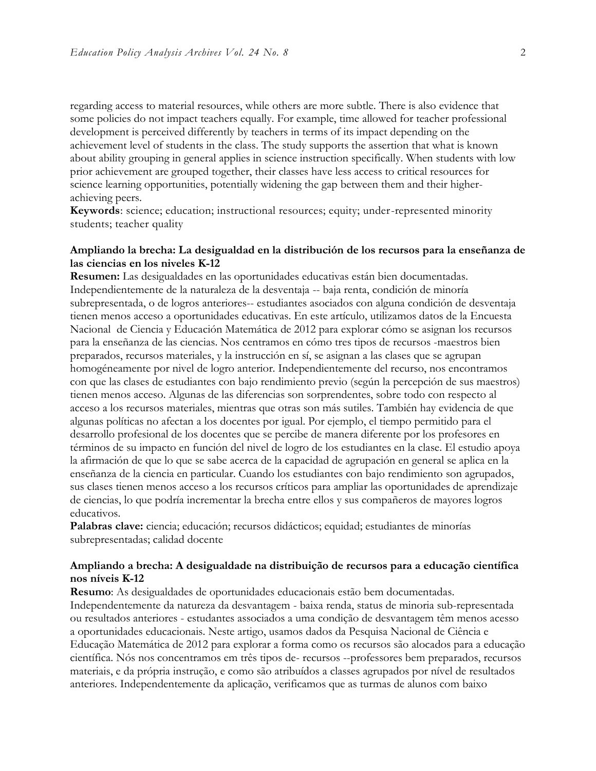regarding access to material resources, while others are more subtle. There is also evidence that some policies do not impact teachers equally. For example, time allowed for teacher professional development is perceived differently by teachers in terms of its impact depending on the achievement level of students in the class. The study supports the assertion that what is known about ability grouping in general applies in science instruction specifically. When students with low prior achievement are grouped together, their classes have less access to critical resources for science learning opportunities, potentially widening the gap between them and their higherachieving peers.

**Keywords**: science; education; instructional resources; equity; under-represented minority students; teacher quality

# **Ampliando la brecha: La desigualdad en la distribución de los recursos para la enseñanza de las ciencias en los niveles K-12**

**Resumen:** Las desigualdades en las oportunidades educativas están bien documentadas. Independientemente de la naturaleza de la desventaja -- baja renta, condición de minoría subrepresentada, o de logros anteriores-- estudiantes asociados con alguna condición de desventaja tienen menos acceso a oportunidades educativas. En este artículo, utilizamos datos de la Encuesta Nacional de Ciencia y Educación Matemática de 2012 para explorar cómo se asignan los recursos para la enseñanza de las ciencias. Nos centramos en cómo tres tipos de recursos -maestros bien preparados, recursos materiales, y la instrucción en sí, se asignan a las clases que se agrupan homogéneamente por nivel de logro anterior. Independientemente del recurso, nos encontramos con que las clases de estudiantes con bajo rendimiento previo (según la percepción de sus maestros) tienen menos acceso. Algunas de las diferencias son sorprendentes, sobre todo con respecto al acceso a los recursos materiales, mientras que otras son más sutiles. También hay evidencia de que algunas políticas no afectan a los docentes por igual. Por ejemplo, el tiempo permitido para el desarrollo profesional de los docentes que se percibe de manera diferente por los profesores en términos de su impacto en función del nivel de logro de los estudiantes en la clase. El estudio apoya la afirmación de que lo que se sabe acerca de la capacidad de agrupación en general se aplica en la enseñanza de la ciencia en particular. Cuando los estudiantes con bajo rendimiento son agrupados, sus clases tienen menos acceso a los recursos críticos para ampliar las oportunidades de aprendizaje de ciencias, lo que podría incrementar la brecha entre ellos y sus compañeros de mayores logros educativos.

**Palabras clave:** ciencia; educación; recursos didácticos; equidad; estudiantes de minorías subrepresentadas; calidad docente

# **Ampliando a brecha: A desigualdade na distribuição de recursos para a educação científica nos níveis K-12**

**Resumo**: As desigualdades de oportunidades educacionais estão bem documentadas. Independentemente da natureza da desvantagem - baixa renda, status de minoria sub-representada ou resultados anteriores - estudantes associados a uma condição de desvantagem têm menos acesso a oportunidades educacionais. Neste artigo, usamos dados da Pesquisa Nacional de Ciência e Educação Matemática de 2012 para explorar a forma como os recursos são alocados para a educação científica. Nós nos concentramos em três tipos de- recursos --professores bem preparados, recursos materiais, e da própria instrução, e como são atribuídos a classes agrupados por nível de resultados anteriores. Independentemente da aplicação, verificamos que as turmas de alunos com baixo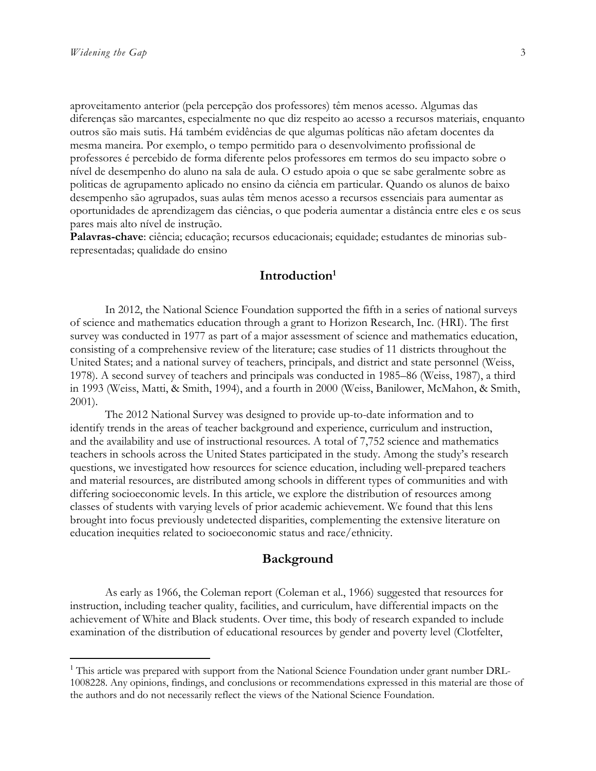$\overline{a}$ 

aproveitamento anterior (pela percepção dos professores) têm menos acesso. Algumas das diferenças são marcantes, especialmente no que diz respeito ao acesso a recursos materiais, enquanto outros são mais sutis. Há também evidências de que algumas políticas não afetam docentes da mesma maneira. Por exemplo, o tempo permitido para o desenvolvimento profissional de professores é percebido de forma diferente pelos professores em termos do seu impacto sobre o nível de desempenho do aluno na sala de aula. O estudo apoia o que se sabe geralmente sobre as politicas de agrupamento aplicado no ensino da ciência em particular. Quando os alunos de baixo desempenho são agrupados, suas aulas têm menos acesso a recursos essenciais para aumentar as oportunidades de aprendizagem das ciências, o que poderia aumentar a distância entre eles e os seus pares mais alto nível de instrução.

**Palavras-chave**: ciência; educação; recursos educacionais; equidade; estudantes de minorias subrepresentadas; qualidade do ensino

# **Introduction<sup>1</sup>**

In 2012, the National Science Foundation supported the fifth in a series of national surveys of science and mathematics education through a grant to Horizon Research, Inc. (HRI). The first survey was conducted in 1977 as part of a major assessment of science and mathematics education, consisting of a comprehensive review of the literature; case studies of 11 districts throughout the United States; and a national survey of teachers, principals, and district and state personnel (Weiss, 1978). A second survey of teachers and principals was conducted in 1985–86 (Weiss, 1987), a third in 1993 (Weiss, Matti, & Smith, 1994), and a fourth in 2000 (Weiss, Banilower, McMahon, & Smith, 2001).

The 2012 National Survey was designed to provide up-to-date information and to identify trends in the areas of teacher background and experience, curriculum and instruction, and the availability and use of instructional resources. A total of 7,752 science and mathematics teachers in schools across the United States participated in the study. Among the study's research questions, we investigated how resources for science education, including well-prepared teachers and material resources, are distributed among schools in different types of communities and with differing socioeconomic levels. In this article, we explore the distribution of resources among classes of students with varying levels of prior academic achievement. We found that this lens brought into focus previously undetected disparities, complementing the extensive literature on education inequities related to socioeconomic status and race/ethnicity.

# **Background**

As early as 1966, the Coleman report (Coleman et al., 1966) suggested that resources for instruction, including teacher quality, facilities, and curriculum, have differential impacts on the achievement of White and Black students. Over time, this body of research expanded to include examination of the distribution of educational resources by gender and poverty level (Clotfelter,

<sup>&</sup>lt;sup>1</sup> This article was prepared with support from the National Science Foundation under grant number DRL-1008228. Any opinions, findings, and conclusions or recommendations expressed in this material are those of the authors and do not necessarily reflect the views of the National Science Foundation.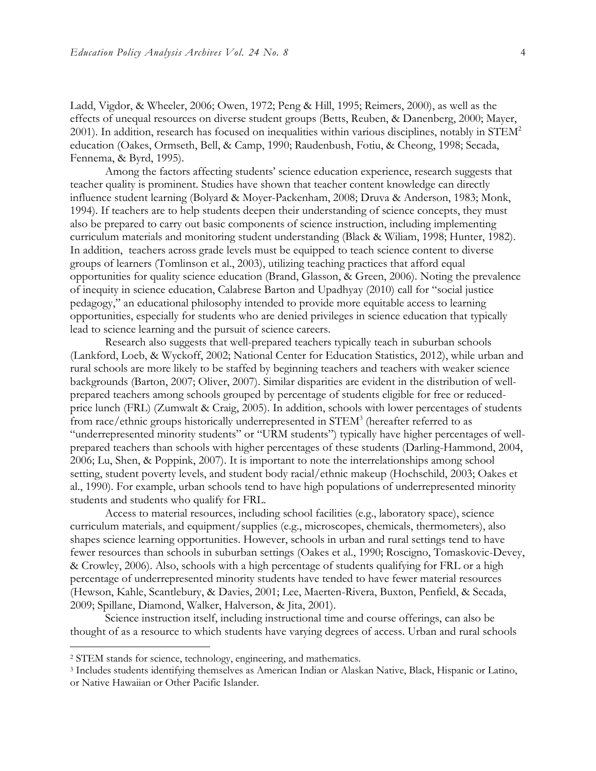Ladd, Vigdor, & Wheeler, 2006; Owen, 1972; Peng & Hill, 1995; Reimers, 2000), as well as the effects of unequal resources on diverse student groups (Betts, Reuben, & Danenberg, 2000; Mayer, 2001). In addition, research has focused on inequalities within various disciplines, notably in STEM<sup>2</sup> education (Oakes, Ormseth, Bell, & Camp, 1990; Raudenbush, Fotiu, & Cheong, 1998; Secada, Fennema, & Byrd, 1995).

Among the factors affecting students' science education experience, research suggests that teacher quality is prominent. Studies have shown that teacher content knowledge can directly influence student learning (Bolyard & Moyer-Packenham, 2008; Druva & Anderson, 1983; Monk, 1994). If teachers are to help students deepen their understanding of science concepts, they must also be prepared to carry out basic components of science instruction, including implementing curriculum materials and monitoring student understanding (Black & Wiliam, 1998; Hunter, 1982). In addition, teachers across grade levels must be equipped to teach science content to diverse groups of learners (Tomlinson et al., 2003), utilizing teaching practices that afford equal opportunities for quality science education (Brand, Glasson, & Green, 2006). Noting the prevalence of inequity in science education, Calabrese Barton and Upadhyay (2010) call for "social justice pedagogy," an educational philosophy intended to provide more equitable access to learning opportunities, especially for students who are denied privileges in science education that typically lead to science learning and the pursuit of science careers.

Research also suggests that well-prepared teachers typically teach in suburban schools (Lankford, Loeb, & Wyckoff, 2002; National Center for Education Statistics, 2012), while urban and rural schools are more likely to be staffed by beginning teachers and teachers with weaker science backgrounds (Barton, 2007; Oliver, 2007). Similar disparities are evident in the distribution of wellprepared teachers among schools grouped by percentage of students eligible for free or reducedprice lunch (FRL) (Zumwalt & Craig, 2005). In addition, schools with lower percentages of students from race/ethnic groups historically underrepresented in STEM<sup>3</sup> (hereafter referred to as "underrepresented minority students" or "URM students") typically have higher percentages of wellprepared teachers than schools with higher percentages of these students (Darling-Hammond, 2004, 2006; Lu, Shen, & Poppink, 2007). It is important to note the interrelationships among school setting, student poverty levels, and student body racial/ethnic makeup (Hochschild, 2003; Oakes et al., 1990). For example, urban schools tend to have high populations of underrepresented minority students and students who qualify for FRL.

Access to material resources, including school facilities (e.g., laboratory space), science curriculum materials, and equipment/supplies (e.g., microscopes, chemicals, thermometers), also shapes science learning opportunities. However, schools in urban and rural settings tend to have fewer resources than schools in suburban settings (Oakes et al., 1990; Roscigno, Tomaskovic-Devey, & Crowley, 2006). Also, schools with a high percentage of students qualifying for FRL or a high percentage of underrepresented minority students have tended to have fewer material resources (Hewson, Kahle, Scantlebury, & Davies, 2001; Lee, Maerten-Rivera, Buxton, Penfield, & Secada, 2009; Spillane, Diamond, Walker, Halverson, & Jita, 2001).

Science instruction itself, including instructional time and course offerings, can also be thought of as a resource to which students have varying degrees of access. Urban and rural schools

 $\overline{a}$ 

<sup>2</sup> STEM stands for science, technology, engineering, and mathematics.

<sup>3</sup> Includes students identifying themselves as American Indian or Alaskan Native, Black, Hispanic or Latino, or Native Hawaiian or Other Pacific Islander.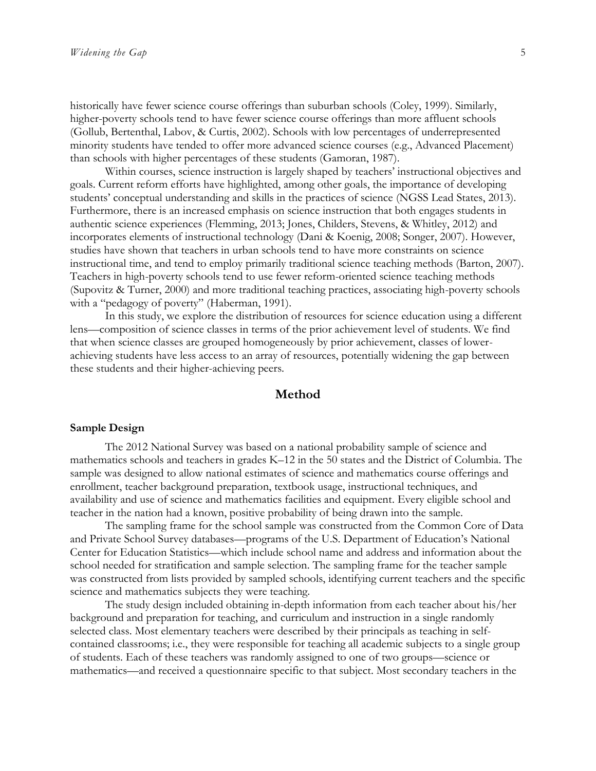historically have fewer science course offerings than suburban schools (Coley, 1999). Similarly, higher-poverty schools tend to have fewer science course offerings than more affluent schools (Gollub, Bertenthal, Labov, & Curtis, 2002). Schools with low percentages of underrepresented minority students have tended to offer more advanced science courses (e.g., Advanced Placement) than schools with higher percentages of these students (Gamoran, 1987).

Within courses, science instruction is largely shaped by teachers' instructional objectives and goals. Current reform efforts have highlighted, among other goals, the importance of developing students' conceptual understanding and skills in the practices of science (NGSS Lead States, 2013). Furthermore, there is an increased emphasis on science instruction that both engages students in authentic science experiences (Flemming, 2013; Jones, Childers, Stevens, & Whitley, 2012) and incorporates elements of instructional technology (Dani & Koenig, 2008; Songer, 2007). However, studies have shown that teachers in urban schools tend to have more constraints on science instructional time, and tend to employ primarily traditional science teaching methods (Barton, 2007). Teachers in high-poverty schools tend to use fewer reform-oriented science teaching methods (Supovitz & Turner, 2000) and more traditional teaching practices, associating high-poverty schools with a "pedagogy of poverty" (Haberman, 1991).

In this study, we explore the distribution of resources for science education using a different lens—composition of science classes in terms of the prior achievement level of students. We find that when science classes are grouped homogeneously by prior achievement, classes of lowerachieving students have less access to an array of resources, potentially widening the gap between these students and their higher-achieving peers.

# **Method**

#### **Sample Design**

The 2012 National Survey was based on a national probability sample of science and mathematics schools and teachers in grades K–12 in the 50 states and the District of Columbia. The sample was designed to allow national estimates of science and mathematics course offerings and enrollment, teacher background preparation, textbook usage, instructional techniques, and availability and use of science and mathematics facilities and equipment. Every eligible school and teacher in the nation had a known, positive probability of being drawn into the sample.

The sampling frame for the school sample was constructed from the Common Core of Data and Private School Survey databases—programs of the U.S. Department of Education's National Center for Education Statistics—which include school name and address and information about the school needed for stratification and sample selection. The sampling frame for the teacher sample was constructed from lists provided by sampled schools, identifying current teachers and the specific science and mathematics subjects they were teaching.

The study design included obtaining in-depth information from each teacher about his/her background and preparation for teaching, and curriculum and instruction in a single randomly selected class. Most elementary teachers were described by their principals as teaching in selfcontained classrooms; i.e., they were responsible for teaching all academic subjects to a single group of students. Each of these teachers was randomly assigned to one of two groups—science or mathematics—and received a questionnaire specific to that subject. Most secondary teachers in the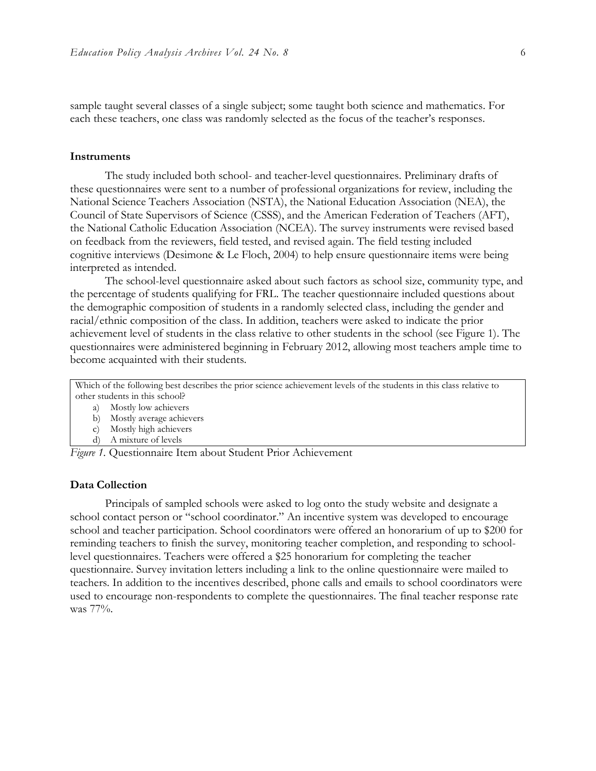sample taught several classes of a single subject; some taught both science and mathematics. For each these teachers, one class was randomly selected as the focus of the teacher's responses.

#### **Instruments**

The study included both school- and teacher-level questionnaires. Preliminary drafts of these questionnaires were sent to a number of professional organizations for review, including the National Science Teachers Association (NSTA), the National Education Association (NEA), the Council of State Supervisors of Science (CSSS), and the American Federation of Teachers (AFT), the National Catholic Education Association (NCEA). The survey instruments were revised based on feedback from the reviewers, field tested, and revised again. The field testing included cognitive interviews (Desimone & Le Floch, 2004) to help ensure questionnaire items were being interpreted as intended.

The school-level questionnaire asked about such factors as school size, community type, and the percentage of students qualifying for FRL. The teacher questionnaire included questions about the demographic composition of students in a randomly selected class, including the gender and racial/ethnic composition of the class. In addition, teachers were asked to indicate the prior achievement level of students in the class relative to other students in the school (see Figure 1). The questionnaires were administered beginning in February 2012, allowing most teachers ample time to become acquainted with their students.

Which of the following best describes the prior science achievement levels of the students in this class relative to other students in this school?

- a) Mostly low achievers
- b) Mostly average achievers
- c) Mostly high achievers
- d) A mixture of levels

*Figure 1.* Questionnaire Item about Student Prior Achievement

#### **Data Collection**

Principals of sampled schools were asked to log onto the study website and designate a school contact person or "school coordinator." An incentive system was developed to encourage school and teacher participation. School coordinators were offered an honorarium of up to \$200 for reminding teachers to finish the survey, monitoring teacher completion, and responding to schoollevel questionnaires. Teachers were offered a \$25 honorarium for completing the teacher questionnaire. Survey invitation letters including a link to the online questionnaire were mailed to teachers. In addition to the incentives described, phone calls and emails to school coordinators were used to encourage non-respondents to complete the questionnaires. The final teacher response rate was 77%.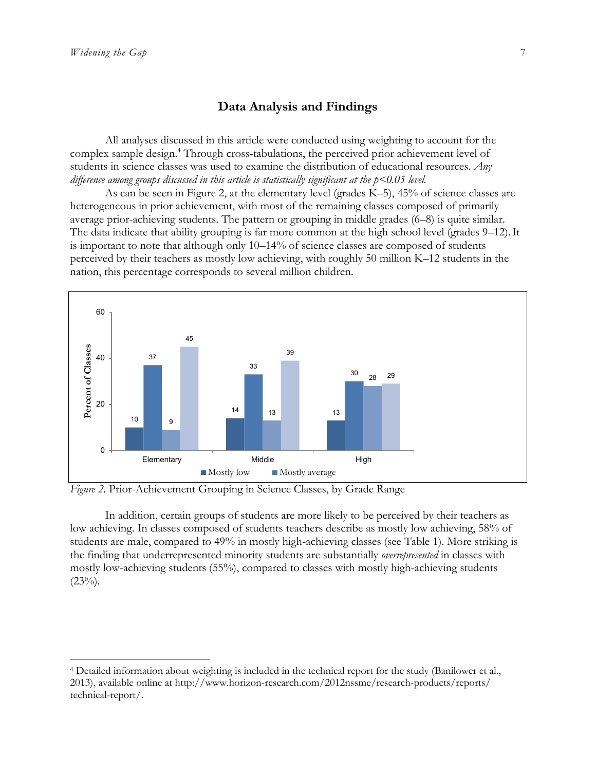$\overline{a}$ 

# **Data Analysis and Findings**

All analyses discussed in this article were conducted using weighting to account for the complex sample design.<sup>4</sup> Through cross-tabulations, the perceived prior achievement level of students in science classes was used to examine the distribution of educational resources. *Any difference among groups discussed in this article is statistically significant at the p<0.05 level.*

As can be seen in Figure 2, at the elementary level (grades K–5), 45% of science classes are heterogeneous in prior achievement, with most of the remaining classes composed of primarily average prior-achieving students. The pattern or grouping in middle grades (6–8) is quite similar. The data indicate that ability grouping is far more common at the high school level (grades 9–12). It is important to note that although only 10–14% of science classes are composed of students perceived by their teachers as mostly low achieving, with roughly 50 million K–12 students in the nation, this percentage corresponds to several million children.



*Figure 2.* Prior-Achievement Grouping in Science Classes, by Grade Range

In addition, certain groups of students are more likely to be perceived by their teachers as low achieving. In classes composed of students teachers describe as mostly low achieving, 58% of students are male, compared to 49% in mostly high-achieving classes (see Table 1). More striking is the finding that underrepresented minority students are substantially *overrepresented* in classes with mostly low-achieving students (55%), compared to classes with mostly high-achieving students  $(23\%)$ .

<sup>4</sup> Detailed information about weighting is included in the technical report for the study (Banilower et al., 2013), available online at http://www.horizon-research.com/2012nssme/research-products/reports/ technical-report/.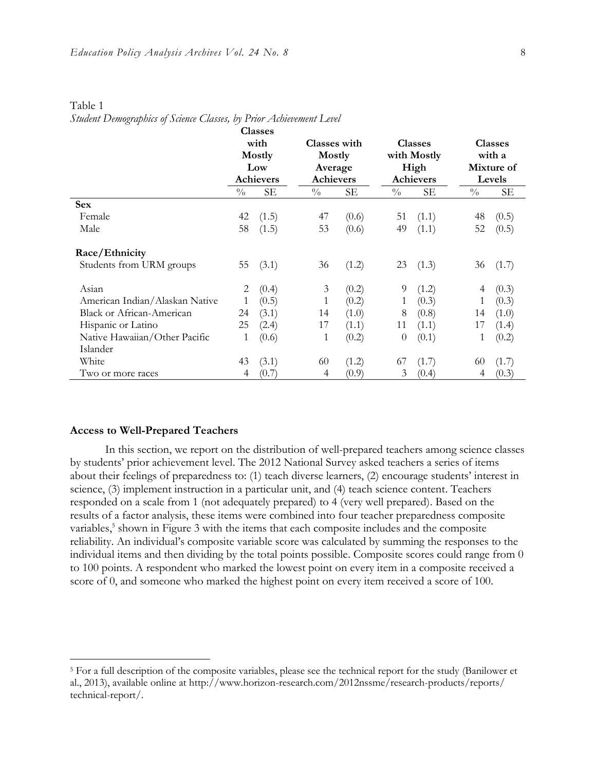|                                  | <b>Classes</b><br>with<br>Mostly<br>Low<br>Achievers |       | <b>Classes with</b><br>Mostly<br>Average<br>Achievers |       |               | <b>Classes</b><br>with Mostly<br>High<br>Achievers |               | <b>Classes</b><br>with a<br>Mixture of<br>Levels |
|----------------------------------|------------------------------------------------------|-------|-------------------------------------------------------|-------|---------------|----------------------------------------------------|---------------|--------------------------------------------------|
|                                  | $\frac{0}{0}$                                        | SЕ    | $\frac{0}{0}$                                         | SЕ    | $\frac{0}{0}$ | SЕ                                                 | $\frac{0}{0}$ | SЕ                                               |
| <b>Sex</b>                       |                                                      |       |                                                       |       |               |                                                    |               |                                                  |
| Female                           | 42                                                   | (1.5) | 47                                                    | (0.6) | 51            | (1.1)                                              | 48            | (0.5)                                            |
| Male                             | 58                                                   | (1.5) | 53                                                    | (0.6) | 49            | (1.1)                                              | 52            | (0.5)                                            |
| Race/Ethnicity                   |                                                      |       |                                                       |       |               |                                                    |               |                                                  |
| Students from URM groups         | 55                                                   | (3.1) | 36                                                    | (1.2) | 23            | (1.3)                                              | 36            | (1.7)                                            |
| Asian                            | 2                                                    | (0.4) | $\mathfrak{Z}$                                        | (0.2) | 9             | (1.2)                                              | 4             | (0.3)                                            |
| American Indian/Alaskan Native   |                                                      | (0.5) | 1                                                     | (0.2) | 1             | (0.3)                                              | 1             | (0.3)                                            |
| <b>Black or African-American</b> | 24                                                   | (3.1) | 14                                                    | (1.0) | 8             | (0.8)                                              | 14            | (1.0)                                            |
| Hispanic or Latino               | 25                                                   | (2.4) | 17                                                    | (1.1) | 11            | (1.1)                                              | 17            | (1.4)                                            |
| Native Hawaiian/Other Pacific    | 1                                                    | (0.6) | 1                                                     | (0.2) | $\theta$      | (0.1)                                              | 1             | (0.2)                                            |
| Islander                         |                                                      |       |                                                       |       |               |                                                    |               |                                                  |
| White                            | 43                                                   | (3.1) | 60                                                    | (1.2) | 67            | (1.7)                                              | 60            | (1.7)                                            |
| Two or more races                | 4                                                    | (0.7) | 4                                                     | (0.9) | 3             | (0.4)                                              | 4             | (0.3)                                            |

Table 1 *Student Demographics of Science Classes, by Prior Achievement Level*

#### **Access to Well-Prepared Teachers**

 $\overline{a}$ 

In this section, we report on the distribution of well-prepared teachers among science classes by students' prior achievement level. The 2012 National Survey asked teachers a series of items about their feelings of preparedness to: (1) teach diverse learners, (2) encourage students' interest in science, (3) implement instruction in a particular unit, and (4) teach science content. Teachers responded on a scale from 1 (not adequately prepared) to 4 (very well prepared). Based on the results of a factor analysis, these items were combined into four teacher preparedness composite variables,<sup>5</sup> shown in Figure 3 with the items that each composite includes and the composite reliability. An individual's composite variable score was calculated by summing the responses to the individual items and then dividing by the total points possible. Composite scores could range from 0 to 100 points. A respondent who marked the lowest point on every item in a composite received a score of 0, and someone who marked the highest point on every item received a score of 100.

<sup>5</sup> For a full description of the composite variables, please see the technical report for the study (Banilower et al., 2013), available online at http://www.horizon-research.com/2012nssme/research-products/reports/ technical-report/.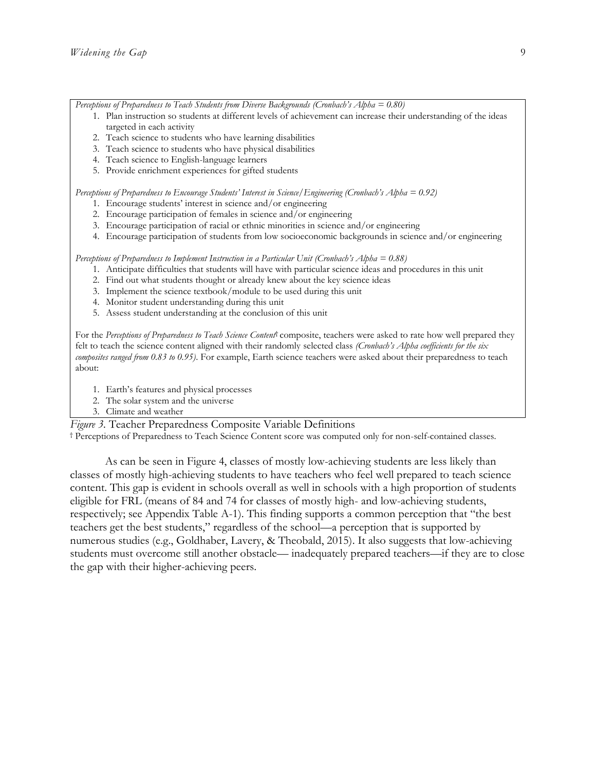*Perceptions of Preparedness to Teach Students from Diverse Backgrounds (Cronbach's Alpha = 0.80)*

- 1. Plan instruction so students at different levels of achievement can increase their understanding of the ideas targeted in each activity
- 2. Teach science to students who have learning disabilities
- 3. Teach science to students who have physical disabilities
- 4. Teach science to English-language learners
- 5. Provide enrichment experiences for gifted students

*Perceptions of Preparedness to Encourage Students' Interest in Science/Engineering (Cronbach's Alpha = 0.92)*

- 1. Encourage students' interest in science and/or engineering
- 2. Encourage participation of females in science and/or engineering
- 3. Encourage participation of racial or ethnic minorities in science and/or engineering
- 4. Encourage participation of students from low socioeconomic backgrounds in science and/or engineering

*Perceptions of Preparedness to Implement Instruction in a Particular Unit (Cronbach's Alpha = 0.88)*

- 1. Anticipate difficulties that students will have with particular science ideas and procedures in this unit
- 2. Find out what students thought or already knew about the key science ideas
- 3. Implement the science textbook/module to be used during this unit
- 4. Monitor student understanding during this unit
- 5. Assess student understanding at the conclusion of this unit

For the *Perceptions of Preparedness to Teach Science Content*† composite, teachers were asked to rate how well prepared they felt to teach the science content aligned with their randomly selected class *(Cronbach's Alpha coefficients for the six composites ranged from 0.83 to 0.95)*. For example, Earth science teachers were asked about their preparedness to teach about:

- 1. Earth's features and physical processes
- 2. The solar system and the universe
- 3. Climate and weather

*Figure 3.* Teacher Preparedness Composite Variable Definitions

† Perceptions of Preparedness to Teach Science Content score was computed only for non-self-contained classes.

As can be seen in Figure 4, classes of mostly low-achieving students are less likely than classes of mostly high-achieving students to have teachers who feel well prepared to teach science content. This gap is evident in schools overall as well in schools with a high proportion of students eligible for FRL (means of 84 and 74 for classes of mostly high- and low-achieving students, respectively; see Appendix Table A-1). This finding supports a common perception that "the best teachers get the best students," regardless of the school—a perception that is supported by numerous studies (e.g., Goldhaber, Lavery, & Theobald, 2015). It also suggests that low-achieving students must overcome still another obstacle— inadequately prepared teachers—if they are to close the gap with their higher-achieving peers.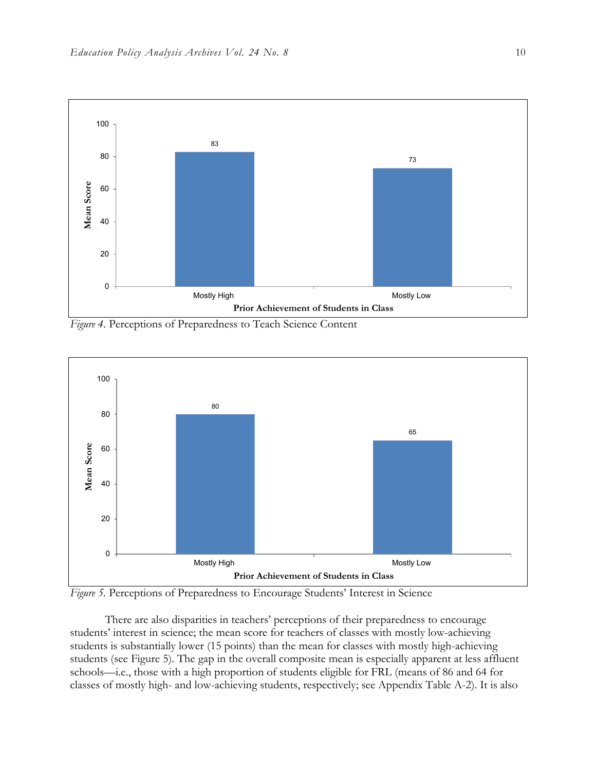

*Figure 4.* Perceptions of Preparedness to Teach Science Content





There are also disparities in teachers' perceptions of their preparedness to encourage students' interest in science; the mean score for teachers of classes with mostly low-achieving students is substantially lower (15 points) than the mean for classes with mostly high-achieving students (see Figure 5). The gap in the overall composite mean is especially apparent at less affluent schools—i.e., those with a high proportion of students eligible for FRL (means of 86 and 64 for classes of mostly high- and low-achieving students, respectively; see Appendix Table A-2). It is also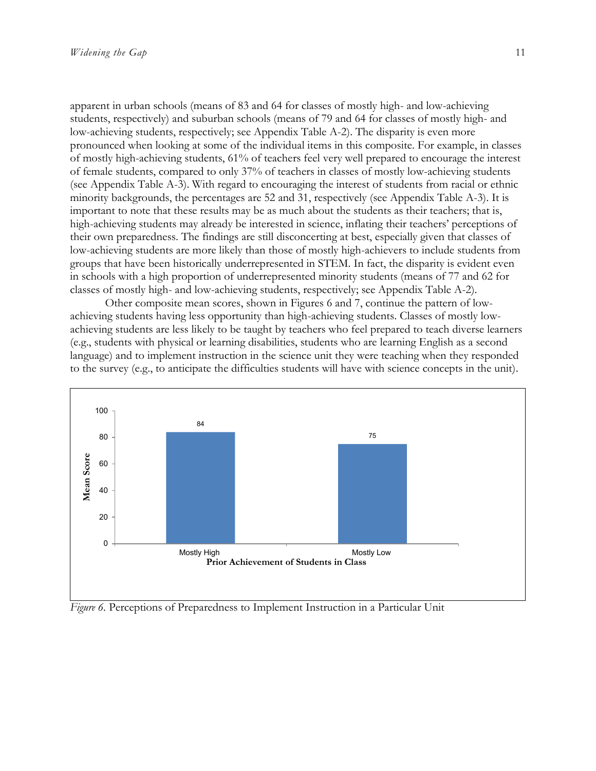apparent in urban schools (means of 83 and 64 for classes of mostly high- and low-achieving students, respectively) and suburban schools (means of 79 and 64 for classes of mostly high- and low-achieving students, respectively; see Appendix Table A-2). The disparity is even more pronounced when looking at some of the individual items in this composite. For example, in classes of mostly high-achieving students, 61% of teachers feel very well prepared to encourage the interest of female students, compared to only 37% of teachers in classes of mostly low-achieving students (see Appendix Table A-3). With regard to encouraging the interest of students from racial or ethnic minority backgrounds, the percentages are 52 and 31, respectively (see Appendix Table A-3). It is important to note that these results may be as much about the students as their teachers; that is, high-achieving students may already be interested in science, inflating their teachers' perceptions of their own preparedness. The findings are still disconcerting at best, especially given that classes of low-achieving students are more likely than those of mostly high-achievers to include students from groups that have been historically underrepresented in STEM. In fact, the disparity is evident even in schools with a high proportion of underrepresented minority students (means of 77 and 62 for classes of mostly high- and low-achieving students, respectively; see Appendix Table A-2).

Other composite mean scores, shown in Figures 6 and 7, continue the pattern of lowachieving students having less opportunity than high-achieving students. Classes of mostly lowachieving students are less likely to be taught by teachers who feel prepared to teach diverse learners (e.g., students with physical or learning disabilities, students who are learning English as a second language) and to implement instruction in the science unit they were teaching when they responded to the survey (e.g., to anticipate the difficulties students will have with science concepts in the unit).



*Figure 6.* Perceptions of Preparedness to Implement Instruction in a Particular Unit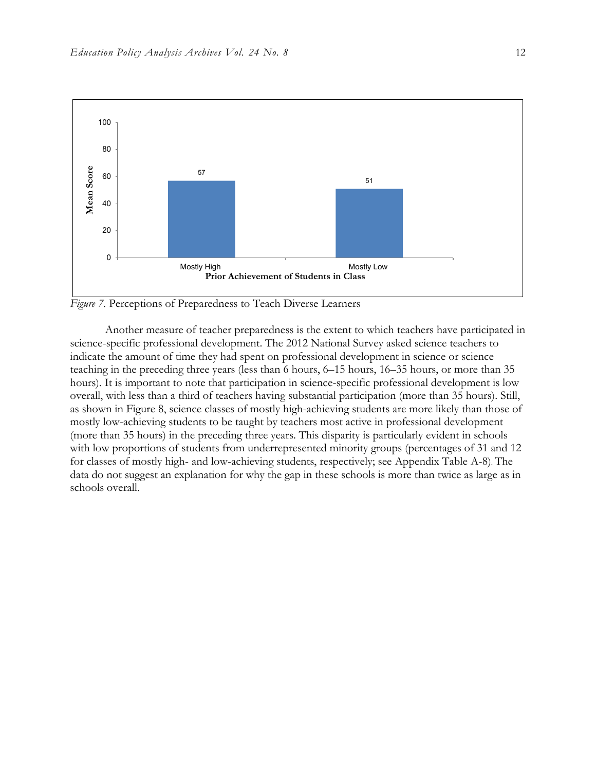

*Figure 7.* Perceptions of Preparedness to Teach Diverse Learners

Another measure of teacher preparedness is the extent to which teachers have participated in science-specific professional development. The 2012 National Survey asked science teachers to indicate the amount of time they had spent on professional development in science or science teaching in the preceding three years (less than 6 hours, 6–15 hours, 16–35 hours, or more than 35 hours). It is important to note that participation in science-specific professional development is low overall, with less than a third of teachers having substantial participation (more than 35 hours). Still, as shown in Figure 8, science classes of mostly high-achieving students are more likely than those of mostly low-achieving students to be taught by teachers most active in professional development (more than 35 hours) in the preceding three years. This disparity is particularly evident in schools with low proportions of students from underrepresented minority groups (percentages of 31 and 12 for classes of mostly high- and low-achieving students, respectively; see Appendix Table A-8). The data do not suggest an explanation for why the gap in these schools is more than twice as large as in schools overall.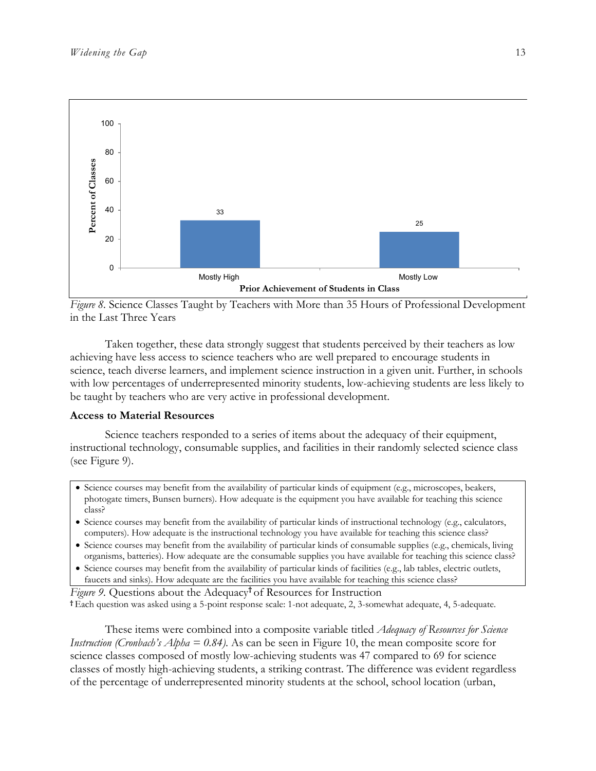

*Figure 8.* Science Classes Taught by Teachers with More than 35 Hours of Professional Development in the Last Three Years

Taken together, these data strongly suggest that students perceived by their teachers as low achieving have less access to science teachers who are well prepared to encourage students in science, teach diverse learners, and implement science instruction in a given unit. Further, in schools with low percentages of underrepresented minority students, low-achieving students are less likely to be taught by teachers who are very active in professional development.

# **Access to Material Resources**

Science teachers responded to a series of items about the adequacy of their equipment, instructional technology, consumable supplies, and facilities in their randomly selected science class (see Figure 9).

- Science courses may benefit from the availability of particular kinds of equipment (e.g., microscopes, beakers, photogate timers, Bunsen burners). How adequate is the equipment you have available for teaching this science class?
- Science courses may benefit from the availability of particular kinds of instructional technology (e.g., calculators, computers). How adequate is the instructional technology you have available for teaching this science class?
- Science courses may benefit from the availability of particular kinds of consumable supplies (e.g., chemicals, living organisms, batteries). How adequate are the consumable supplies you have available for teaching this science class?
- Science courses may benefit from the availability of particular kinds of facilities (e.g., lab tables, electric outlets, faucets and sinks). How adequate are the facilities you have available for teaching this science class?
- *Figure 9.* Questions about the Adequacy**†** of Resources for Instruction

**†** Each question was asked using a 5-point response scale: 1-not adequate, 2, 3-somewhat adequate, 4, 5-adequate.

These items were combined into a composite variable titled *Adequacy of Resources for Science Instruction (Cronbach's Alpha = 0.84)*. As can be seen in Figure 10, the mean composite score for science classes composed of mostly low-achieving students was 47 compared to 69 for science classes of mostly high-achieving students, a striking contrast. The difference was evident regardless of the percentage of underrepresented minority students at the school, school location (urban,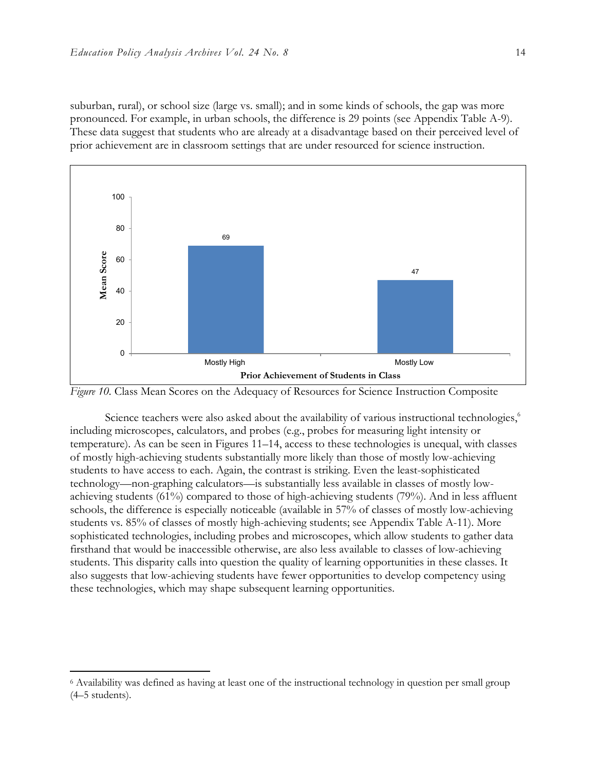suburban, rural), or school size (large vs. small); and in some kinds of schools, the gap was more pronounced. For example, in urban schools, the difference is 29 points (see Appendix Table A-9). These data suggest that students who are already at a disadvantage based on their perceived level of prior achievement are in classroom settings that are under resourced for science instruction.



*Figure 10.* Class Mean Scores on the Adequacy of Resources for Science Instruction Composite

Science teachers were also asked about the availability of various instructional technologies,<sup>6</sup> including microscopes, calculators, and probes (e.g., probes for measuring light intensity or temperature). As can be seen in Figures 11–14, access to these technologies is unequal, with classes of mostly high-achieving students substantially more likely than those of mostly low-achieving students to have access to each. Again, the contrast is striking. Even the least-sophisticated technology—non-graphing calculators—is substantially less available in classes of mostly lowachieving students (61%) compared to those of high-achieving students (79%). And in less affluent schools, the difference is especially noticeable (available in 57% of classes of mostly low-achieving students vs. 85% of classes of mostly high-achieving students; see Appendix Table A-11). More sophisticated technologies, including probes and microscopes, which allow students to gather data firsthand that would be inaccessible otherwise, are also less available to classes of low-achieving students. This disparity calls into question the quality of learning opportunities in these classes. It also suggests that low-achieving students have fewer opportunities to develop competency using these technologies, which may shape subsequent learning opportunities.

 $\overline{a}$ 

<sup>6</sup> Availability was defined as having at least one of the instructional technology in question per small group (4–5 students).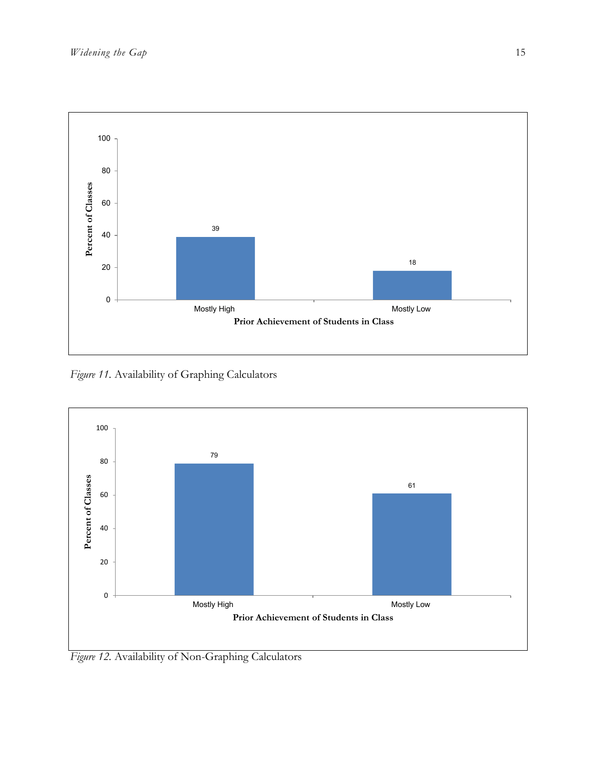

*Figure 11.* Availability of Graphing Calculators



*Figure 12.* Availability of Non-Graphing Calculators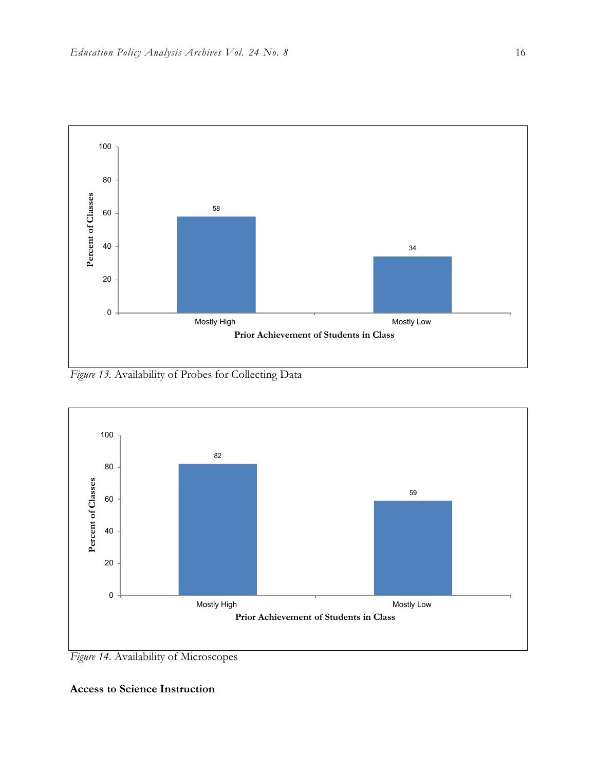

*Figure 13.* Availability of Probes for Collecting Data



*Figure 14.* Availability of Microscopes

# **Access to Science Instruction**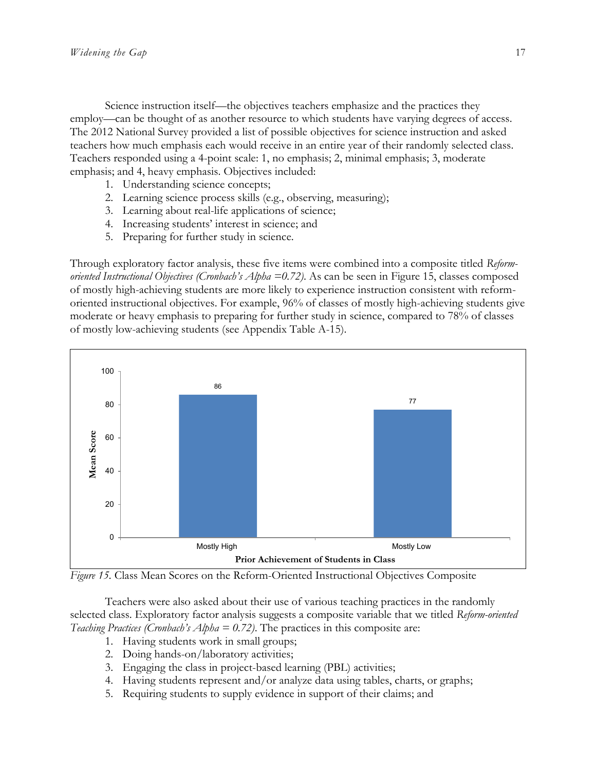Science instruction itself—the objectives teachers emphasize and the practices they employ—can be thought of as another resource to which students have varying degrees of access. The 2012 National Survey provided a list of possible objectives for science instruction and asked teachers how much emphasis each would receive in an entire year of their randomly selected class. Teachers responded using a 4-point scale: 1, no emphasis; 2, minimal emphasis; 3, moderate emphasis; and 4, heavy emphasis. Objectives included:

- 1. Understanding science concepts;
- 2. Learning science process skills (e.g., observing, measuring);
- 3. Learning about real-life applications of science;
- 4. Increasing students' interest in science; and
- 5. Preparing for further study in science.

Through exploratory factor analysis, these five items were combined into a composite titled *Reformoriented Instructional Objectives (Cronbach's Alpha =0.72)*. As can be seen in Figure 15, classes composed of mostly high-achieving students are more likely to experience instruction consistent with reformoriented instructional objectives. For example, 96% of classes of mostly high-achieving students give moderate or heavy emphasis to preparing for further study in science, compared to 78% of classes of mostly low-achieving students (see Appendix Table A-15).





Teachers were also asked about their use of various teaching practices in the randomly selected class. Exploratory factor analysis suggests a composite variable that we titled *Reform-oriented Teaching Practices (Cronbach's Alpha = 0.72)*. The practices in this composite are:

- 1. Having students work in small groups;
- 2. Doing hands-on/laboratory activities;
- 3. Engaging the class in project-based learning (PBL) activities;
- 4. Having students represent and/or analyze data using tables, charts, or graphs;
- 5. Requiring students to supply evidence in support of their claims; and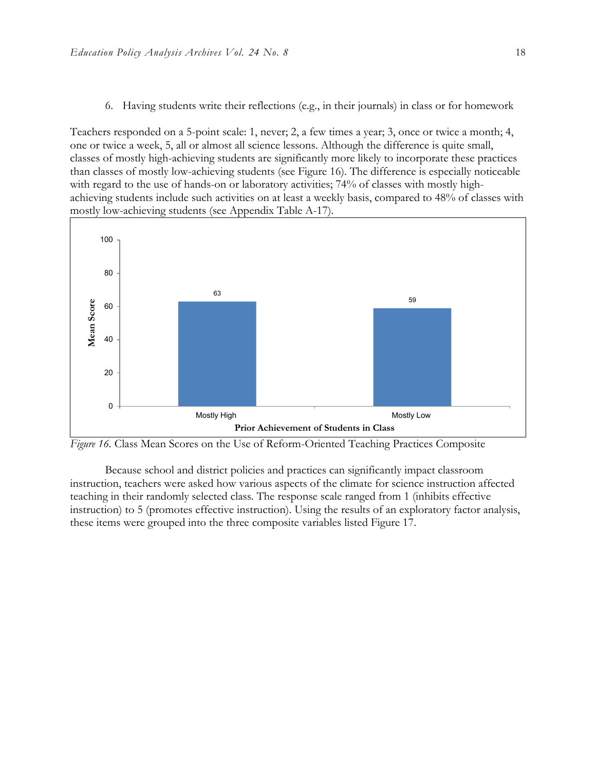6. Having students write their reflections (e.g., in their journals) in class or for homework

Teachers responded on a 5-point scale: 1, never; 2, a few times a year; 3, once or twice a month; 4, one or twice a week, 5, all or almost all science lessons. Although the difference is quite small, classes of mostly high-achieving students are significantly more likely to incorporate these practices than classes of mostly low-achieving students (see Figure 16). The difference is especially noticeable with regard to the use of hands-on or laboratory activities; 74% of classes with mostly highachieving students include such activities on at least a weekly basis, compared to 48% of classes with mostly low-achieving students (see Appendix Table A-17).



*Figure 16.* Class Mean Scores on the Use of Reform-Oriented Teaching Practices Composite

Because school and district policies and practices can significantly impact classroom instruction, teachers were asked how various aspects of the climate for science instruction affected teaching in their randomly selected class. The response scale ranged from 1 (inhibits effective instruction) to 5 (promotes effective instruction). Using the results of an exploratory factor analysis, these items were grouped into the three composite variables listed Figure 17.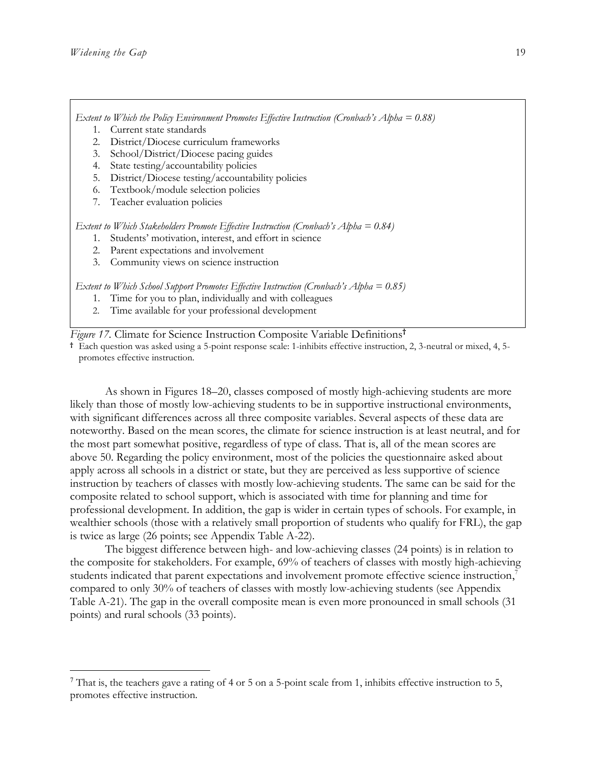$\overline{a}$ 

*Extent to Which the Policy Environment Promotes Effective Instruction (Cronbach's Alpha = 0.88)*

- 1. Current state standards
- 2. District/Diocese curriculum frameworks
- 3. School/District/Diocese pacing guides
- 4. State testing/accountability policies
- 5. District/Diocese testing/accountability policies
- 6. Textbook/module selection policies
- 7. Teacher evaluation policies

*Extent to Which Stakeholders Promote Effective Instruction (Cronbach's Alpha = 0.84)*

- 1. Students' motivation, interest, and effort in science
- 2. Parent expectations and involvement
- 3. Community views on science instruction

*Extent to Which School Support Promotes Effective Instruction (Cronbach's Alpha = 0.85)*

- 1. Time for you to plan, individually and with colleagues
- 2. Time available for your professional development

*Figure 17.* Climate for Science Instruction Composite Variable Definitions**†**

**†** Each question was asked using a 5-point response scale: 1-inhibits effective instruction, 2, 3-neutral or mixed, 4, 5 promotes effective instruction.

As shown in Figures 18–20, classes composed of mostly high-achieving students are more likely than those of mostly low-achieving students to be in supportive instructional environments, with significant differences across all three composite variables. Several aspects of these data are noteworthy. Based on the mean scores, the climate for science instruction is at least neutral, and for the most part somewhat positive, regardless of type of class. That is, all of the mean scores are above 50. Regarding the policy environment, most of the policies the questionnaire asked about apply across all schools in a district or state, but they are perceived as less supportive of science instruction by teachers of classes with mostly low-achieving students. The same can be said for the composite related to school support, which is associated with time for planning and time for professional development. In addition, the gap is wider in certain types of schools. For example, in wealthier schools (those with a relatively small proportion of students who qualify for FRL), the gap is twice as large (26 points; see Appendix Table A-22).

The biggest difference between high- and low-achieving classes (24 points) is in relation to the composite for stakeholders. For example, 69% of teachers of classes with mostly high-achieving students indicated that parent expectations and involvement promote effective science instruction,<sup>7</sup> compared to only 30% of teachers of classes with mostly low-achieving students (see Appendix Table A-21). The gap in the overall composite mean is even more pronounced in small schools (31 points) and rural schools (33 points).

 $^7$  That is, the teachers gave a rating of 4 or 5 on a 5-point scale from 1, inhibits effective instruction to 5, promotes effective instruction.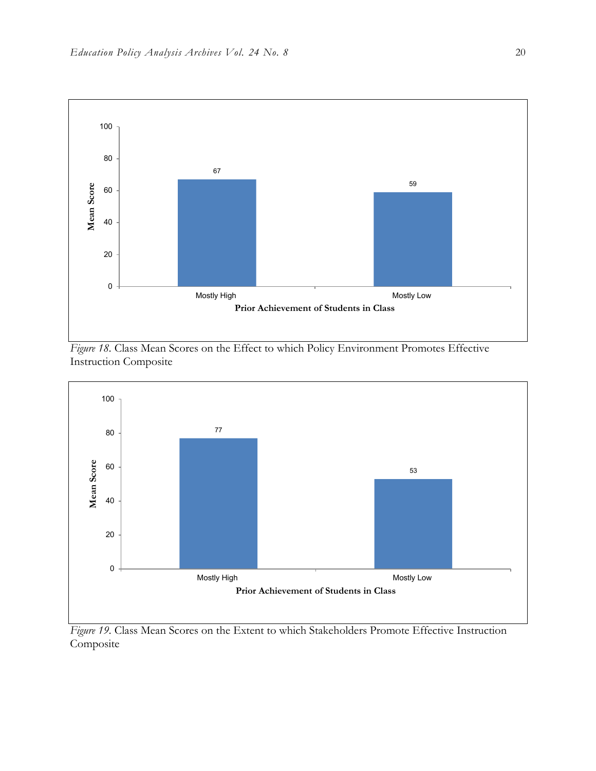





*Figure 19.* Class Mean Scores on the Extent to which Stakeholders Promote Effective Instruction Composite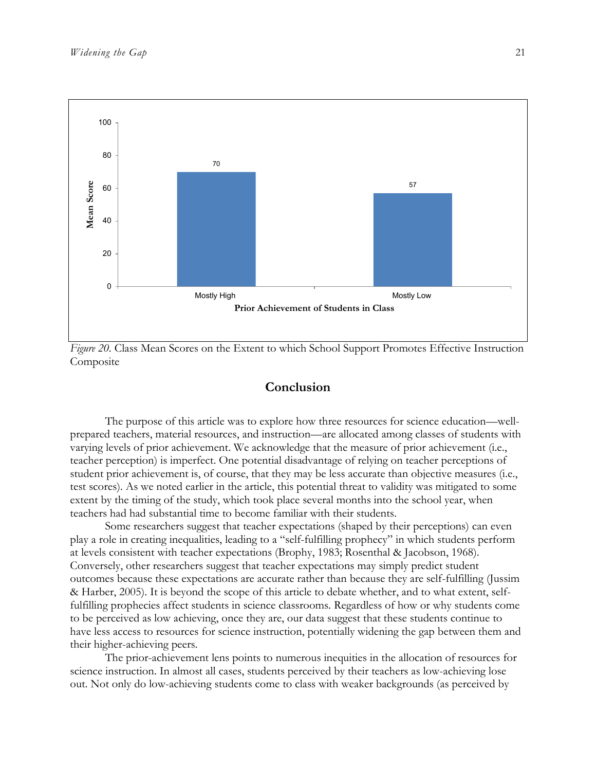

*Figure 20.* Class Mean Scores on the Extent to which School Support Promotes Effective Instruction Composite

# **Conclusion**

The purpose of this article was to explore how three resources for science education—wellprepared teachers, material resources, and instruction—are allocated among classes of students with varying levels of prior achievement. We acknowledge that the measure of prior achievement (i.e., teacher perception) is imperfect. One potential disadvantage of relying on teacher perceptions of student prior achievement is, of course, that they may be less accurate than objective measures (i.e., test scores). As we noted earlier in the article, this potential threat to validity was mitigated to some extent by the timing of the study, which took place several months into the school year, when teachers had had substantial time to become familiar with their students.

Some researchers suggest that teacher expectations (shaped by their perceptions) can even play a role in creating inequalities, leading to a "self-fulfilling prophecy" in which students perform at levels consistent with teacher expectations (Brophy, 1983; Rosenthal & Jacobson, 1968). Conversely, other researchers suggest that teacher expectations may simply predict student outcomes because these expectations are accurate rather than because they are self-fulfilling (Jussim & Harber, 2005). It is beyond the scope of this article to debate whether, and to what extent, selffulfilling prophecies affect students in science classrooms. Regardless of how or why students come to be perceived as low achieving, once they are, our data suggest that these students continue to have less access to resources for science instruction, potentially widening the gap between them and their higher-achieving peers.

The prior-achievement lens points to numerous inequities in the allocation of resources for science instruction. In almost all cases, students perceived by their teachers as low-achieving lose out. Not only do low-achieving students come to class with weaker backgrounds (as perceived by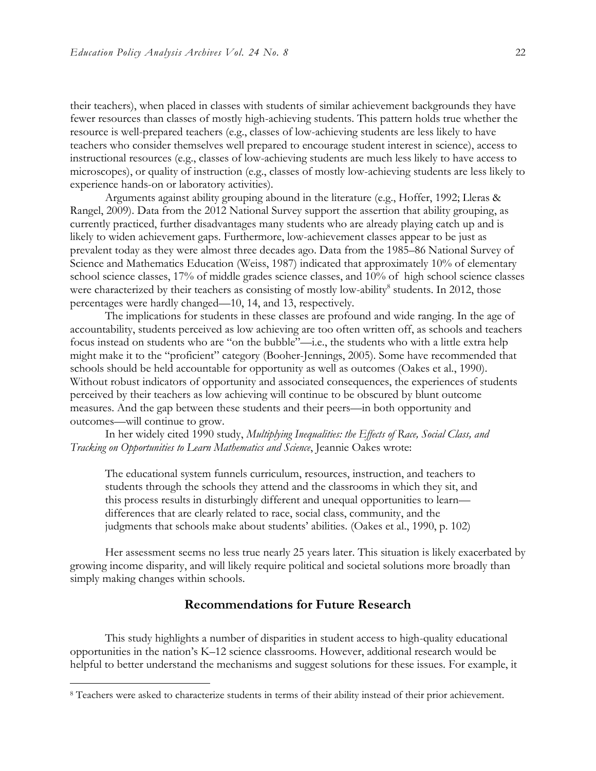their teachers), when placed in classes with students of similar achievement backgrounds they have fewer resources than classes of mostly high-achieving students. This pattern holds true whether the resource is well-prepared teachers (e.g., classes of low-achieving students are less likely to have teachers who consider themselves well prepared to encourage student interest in science), access to instructional resources (e.g., classes of low-achieving students are much less likely to have access to microscopes), or quality of instruction (e.g., classes of mostly low-achieving students are less likely to experience hands-on or laboratory activities).

Arguments against ability grouping abound in the literature (e.g., Hoffer, 1992; Lleras & Rangel, 2009). Data from the 2012 National Survey support the assertion that ability grouping, as currently practiced, further disadvantages many students who are already playing catch up and is likely to widen achievement gaps. Furthermore, low-achievement classes appear to be just as prevalent today as they were almost three decades ago. Data from the 1985–86 National Survey of Science and Mathematics Education (Weiss, 1987) indicated that approximately 10% of elementary school science classes, 17% of middle grades science classes, and 10% of high school science classes were characterized by their teachers as consisting of mostly low-ability<sup>8</sup> students. In 2012, those percentages were hardly changed—10, 14, and 13, respectively.

The implications for students in these classes are profound and wide ranging. In the age of accountability, students perceived as low achieving are too often written off, as schools and teachers focus instead on students who are "on the bubble"—i.e., the students who with a little extra help might make it to the "proficient" category (Booher-Jennings, 2005). Some have recommended that schools should be held accountable for opportunity as well as outcomes (Oakes et al., 1990). Without robust indicators of opportunity and associated consequences, the experiences of students perceived by their teachers as low achieving will continue to be obscured by blunt outcome measures. And the gap between these students and their peers—in both opportunity and outcomes—will continue to grow.

In her widely cited 1990 study, *Multiplying Inequalities: the Effects of Race, Social Class, and Tracking on Opportunities to Learn Mathematics and Science*, Jeannie Oakes wrote:

The educational system funnels curriculum, resources, instruction, and teachers to students through the schools they attend and the classrooms in which they sit, and this process results in disturbingly different and unequal opportunities to learn differences that are clearly related to race, social class, community, and the judgments that schools make about students' abilities. (Oakes et al., 1990, p. 102)

Her assessment seems no less true nearly 25 years later. This situation is likely exacerbated by growing income disparity, and will likely require political and societal solutions more broadly than simply making changes within schools.

# **Recommendations for Future Research**

This study highlights a number of disparities in student access to high-quality educational opportunities in the nation's K–12 science classrooms. However, additional research would be helpful to better understand the mechanisms and suggest solutions for these issues. For example, it

 $\overline{a}$ 

<sup>8</sup> Teachers were asked to characterize students in terms of their ability instead of their prior achievement.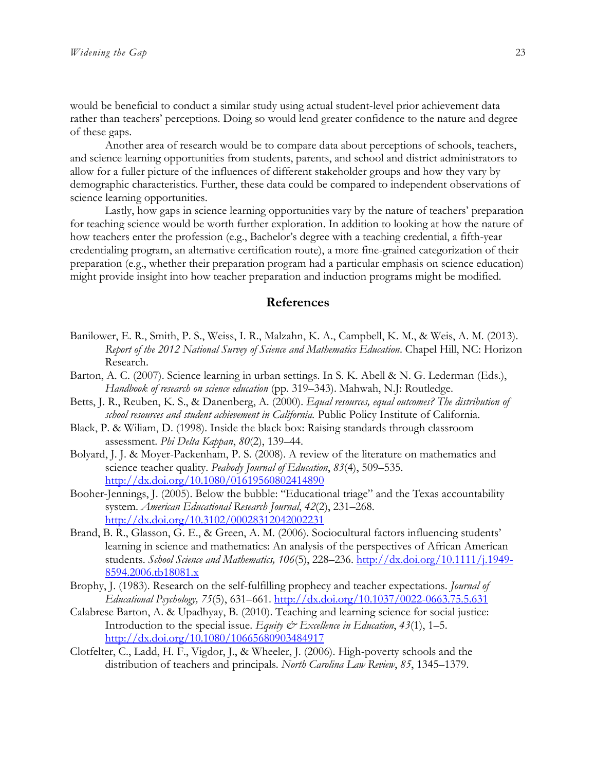would be beneficial to conduct a similar study using actual student-level prior achievement data rather than teachers' perceptions. Doing so would lend greater confidence to the nature and degree of these gaps.

Another area of research would be to compare data about perceptions of schools, teachers, and science learning opportunities from students, parents, and school and district administrators to allow for a fuller picture of the influences of different stakeholder groups and how they vary by demographic characteristics. Further, these data could be compared to independent observations of science learning opportunities.

Lastly, how gaps in science learning opportunities vary by the nature of teachers' preparation for teaching science would be worth further exploration. In addition to looking at how the nature of how teachers enter the profession (e.g., Bachelor's degree with a teaching credential, a fifth-year credentialing program, an alternative certification route), a more fine-grained categorization of their preparation (e.g., whether their preparation program had a particular emphasis on science education) might provide insight into how teacher preparation and induction programs might be modified.

# **References**

- Banilower, E. R., Smith, P. S., Weiss, I. R., Malzahn, K. A., Campbell, K. M., & Weis, A. M. (2013). *Report of the 2012 National Survey of Science and Mathematics Education*. Chapel Hill, NC: Horizon Research.
- Barton, A. C. (2007). Science learning in urban settings. In S. K. Abell & N. G. Lederman (Eds.), *Handbook of research on science education* (pp. 319–343). Mahwah, N.J: Routledge.
- Betts, J. R., Reuben, K. S., & Danenberg, A. (2000). *Equal resources, equal outcomes? The distribution of school resources and student achievement in California.* Public Policy Institute of California.
- Black, P. & Wiliam, D. (1998). Inside the black box: Raising standards through classroom assessment. *Phi Delta Kappan*, *80*(2), 139–44.
- Bolyard, J. J. & Moyer-Packenham, P. S. (2008). A review of the literature on mathematics and science teacher quality. *Peabody Journal of Education*, *83*(4), 509–535. <http://dx.doi.org/10.1080/01619560802414890>
- Booher-Jennings, J. (2005). Below the bubble: "Educational triage" and the Texas accountability system. *American Educational Research Journal*, *42*(2), 231–268. <http://dx.doi.org/10.3102/00028312042002231>
- Brand, B. R., Glasson, G. E., & Green, A. M. (2006). Sociocultural factors influencing students' learning in science and mathematics: An analysis of the perspectives of African American students. *School Science and Mathematics, 106*(5), 228–236. [http://dx.doi.org/10.1111/j.1949-](http://dx.doi.org/10.1111/j.1949-8594.2006.tb18081.x) [8594.2006.tb18081.x](http://dx.doi.org/10.1111/j.1949-8594.2006.tb18081.x)
- Brophy, J. (1983). Research on the self-fulfilling prophecy and teacher expectations. *Journal of Educational Psychology, 75*(5), 631–661. <http://dx.doi.org/10.1037/0022-0663.75.5.631>
- Calabrese Barton, A. & Upadhyay, B. (2010). Teaching and learning science for social justice: Introduction to the special issue. *Equity & Excellence in Education*, *43*(1), 1–5. <http://dx.doi.org/10.1080/10665680903484917>
- Clotfelter, C., Ladd, H. F., Vigdor, J., & Wheeler, J. (2006). High-poverty schools and the distribution of teachers and principals. *North Carolina Law Review*, *85*, 1345–1379.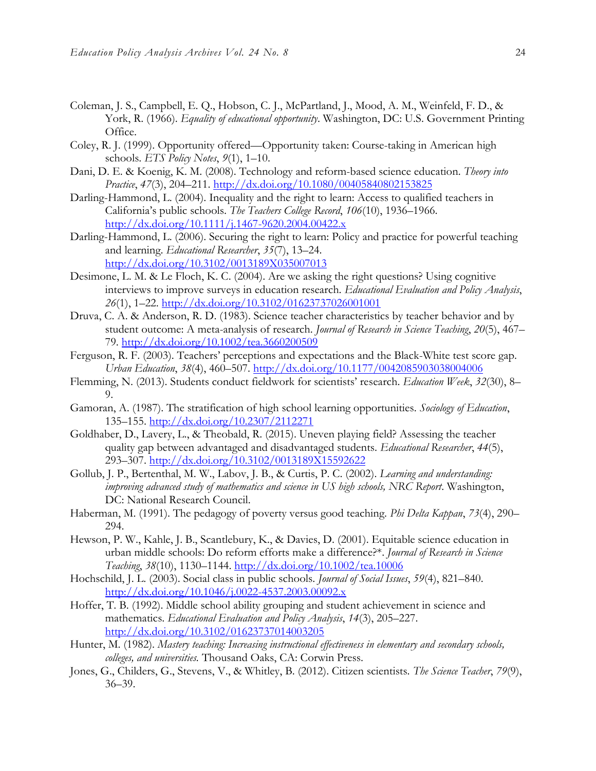- Coleman, J. S., Campbell, E. Q., Hobson, C. J., McPartland, J., Mood, A. M., Weinfeld, F. D., & York, R. (1966). *Equality of educational opportunity*. Washington, DC: U.S. Government Printing Office.
- Coley, R. J. (1999). Opportunity offered—Opportunity taken: Course-taking in American high schools. *ETS Policy Notes*, *9*(1), 1–10.
- Dani, D. E. & Koenig, K. M. (2008). Technology and reform-based science education. *Theory into Practice*, *47*(3), 204–211. <http://dx.doi.org/10.1080/00405840802153825>
- Darling-Hammond, L. (2004). Inequality and the right to learn: Access to qualified teachers in California's public schools. *The Teachers College Record*, *106*(10), 1936–1966. <http://dx.doi.org/10.1111/j.1467-9620.2004.00422.x>
- Darling-Hammond, L. (2006). Securing the right to learn: Policy and practice for powerful teaching and learning. *Educational Researcher*, *35*(7), 13–24. <http://dx.doi.org/10.3102/0013189X035007013>
- Desimone, L. M. & Le Floch, K. C. (2004). Are we asking the right questions? Using cognitive interviews to improve surveys in education research. *Educational Evaluation and Policy Analysis*, *26*(1), 1–22. <http://dx.doi.org/10.3102/01623737026001001>
- Druva, C. A. & Anderson, R. D. (1983). Science teacher characteristics by teacher behavior and by student outcome: A meta-analysis of research. *Journal of Research in Science Teaching*, *20*(5), 467– 79. <http://dx.doi.org/10.1002/tea.3660200509>
- Ferguson, R. F. (2003). Teachers' perceptions and expectations and the Black-White test score gap. *Urban Education*, *38*(4), 460–507. <http://dx.doi.org/10.1177/0042085903038004006>
- Flemming, N. (2013). Students conduct fieldwork for scientists' research. *Education Week*, *32*(30), 8– 9.
- Gamoran, A. (1987). The stratification of high school learning opportunities. *Sociology of Education*, 135–155. <http://dx.doi.org/10.2307/2112271>
- Goldhaber, D., Lavery, L., & Theobald, R. (2015). Uneven playing field? Assessing the teacher quality gap between advantaged and disadvantaged students. *Educational Researcher*, *44*(5), 293–307. <http://dx.doi.org/10.3102/0013189X15592622>
- Gollub, J. P., Bertenthal, M. W., Labov, J. B., & Curtis, P. C. (2002). *Learning and understanding: improving advanced study of mathematics and science in US high schools, NRC Report*. Washington, DC: National Research Council.
- Haberman, M. (1991). The pedagogy of poverty versus good teaching. *Phi Delta Kappan*, *73*(4), 290– 294.
- Hewson, P. W., Kahle, J. B., Scantlebury, K., & Davies, D. (2001). Equitable science education in urban middle schools: Do reform efforts make a difference?\*. *Journal of Research in Science Teaching*, *38*(10), 1130–1144. <http://dx.doi.org/10.1002/tea.10006>
- Hochschild, J. L. (2003). Social class in public schools. *Journal of Social Issues*, *59*(4), 821–840. <http://dx.doi.org/10.1046/j.0022-4537.2003.00092.x>
- Hoffer, T. B. (1992). Middle school ability grouping and student achievement in science and mathematics. *Educational Evaluation and Policy Analysis*, *14*(3), 205–227. <http://dx.doi.org/10.3102/01623737014003205>
- Hunter, M. (1982). *Mastery teaching: Increasing instructional effectiveness in elementary and secondary schools, colleges, and universities.* Thousand Oaks, CA: Corwin Press.
- Jones, G., Childers, G., Stevens, V., & Whitley, B. (2012). Citizen scientists. *The Science Teacher*, *79*(9), 36–39.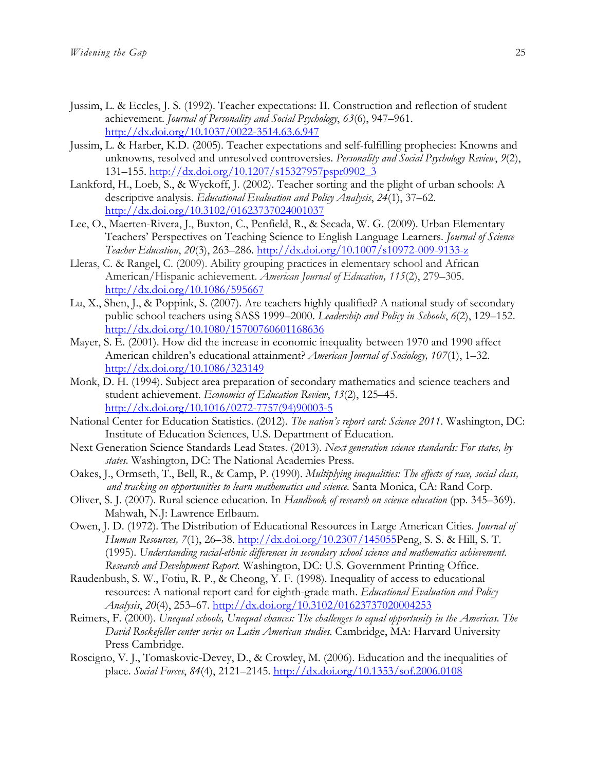- Jussim, L. & Eccles, J. S. (1992). Teacher expectations: II. Construction and reflection of student achievement. *Journal of Personality and Social Psychology*, *63*(6), 947–961. <http://dx.doi.org/10.1037/0022-3514.63.6.947>
- Jussim, L. & Harber, K.D. (2005). Teacher expectations and self-fulfilling prophecies: Knowns and unknowns, resolved and unresolved controversies. *Personality and Social Psychology Review*, *9*(2), 131–155. [http://dx.doi.org/10.1207/s15327957pspr0902\\_3](http://dx.doi.org/10.1207/s15327957pspr0902_3)
- Lankford, H., Loeb, S., & Wyckoff, J. (2002). Teacher sorting and the plight of urban schools: A descriptive analysis. *Educational Evaluation and Policy Analysis*, *24*(1), 37–62. <http://dx.doi.org/10.3102/01623737024001037>
- Lee, O., Maerten-Rivera, J., Buxton, C., Penfield, R., & Secada, W. G. (2009). Urban Elementary Teachers' Perspectives on Teaching Science to English Language Learners. *Journal of Science Teacher Education*, *20*(3), 263–286.<http://dx.doi.org/10.1007/s10972-009-9133-z>
- Lleras, C. & Rangel, C. (2009). Ability grouping practices in elementary school and African American/Hispanic achievement. *American Journal of Education, 115*(2), 279–305. <http://dx.doi.org/10.1086/595667>
- Lu, X., Shen, J., & Poppink, S. (2007). Are teachers highly qualified? A national study of secondary public school teachers using SASS 1999–2000. *Leadership and Policy in Schools*, *6*(2), 129–152. <http://dx.doi.org/10.1080/15700760601168636>
- Mayer, S. E. (2001). How did the increase in economic inequality between 1970 and 1990 affect American children's educational attainment? *American Journal of Sociology, 107*(1), 1–32. <http://dx.doi.org/10.1086/323149>
- Monk, D. H. (1994). Subject area preparation of secondary mathematics and science teachers and student achievement. *Economics of Education Review*, *13*(2), 125–45. [http://dx.doi.org/10.1016/0272-7757\(94\)90003-5](http://dx.doi.org/10.1016/0272-7757(94)90003-5)
- National Center for Education Statistics. (2012). *The nation's report card: Science 2011*. Washington, DC: Institute of Education Sciences, U.S. Department of Education.
- Next Generation Science Standards Lead States. (2013). *Next generation science standards: For states, by states.* Washington, DC: The National Academies Press.
- Oakes, J., Ormseth, T., Bell, R., & Camp, P. (1990). *Multiplying inequalities: The effects of race, social class, and tracking on opportunities to learn mathematics and science.* Santa Monica, CA: Rand Corp.
- Oliver, S. J. (2007). Rural science education. In *Handbook of research on science education* (pp. 345–369). Mahwah, N.J: Lawrence Erlbaum.
- Owen, J. D. (1972). The Distribution of Educational Resources in Large American Cities. *Journal of Human Resources, 7*(1), 26–38. [http://dx.doi.org/10.2307/145055P](http://dx.doi.org/10.2307/145055)eng, S. S. & Hill, S. T. (1995). *Understanding racial-ethnic differences in secondary school science and mathematics achievement. Research and Development Report.* Washington, DC: U.S. Government Printing Office.
- Raudenbush, S. W., Fotiu, R. P., & Cheong, Y. F. (1998). Inequality of access to educational resources: A national report card for eighth-grade math. *Educational Evaluation and Policy Analysis*, *20*(4), 253–67. <http://dx.doi.org/10.3102/01623737020004253>
- Reimers, F. (2000). *Unequal schools, Unequal chances: The challenges to equal opportunity in the Americas. The David Rockefeller center series on Latin American studies.* Cambridge, MA: Harvard University Press Cambridge.
- Roscigno, V. J., Tomaskovic-Devey, D., & Crowley, M. (2006). Education and the inequalities of place. *Social Forces*, *84*(4), 2121–2145. <http://dx.doi.org/10.1353/sof.2006.0108>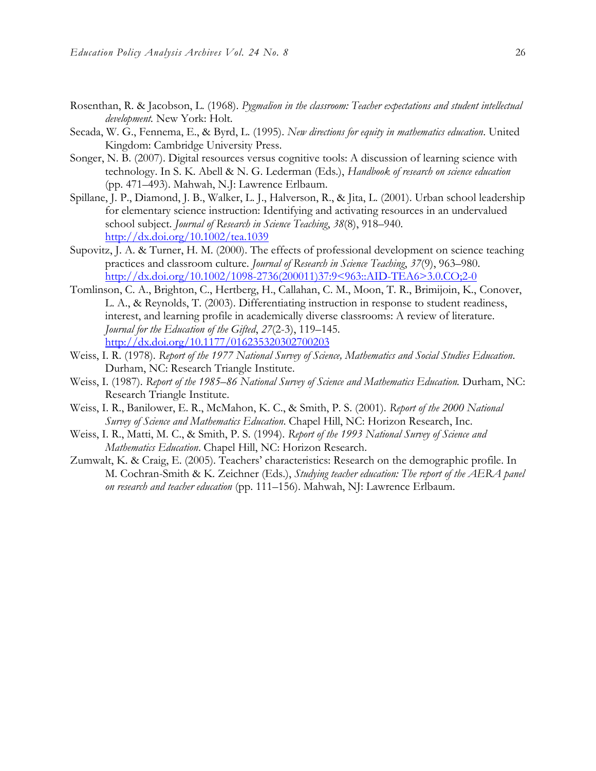- Rosenthan, R. & Jacobson, L. (1968). *Pygmalion in the classroom: Teacher expectations and student intellectual development.* New York: Holt.
- Secada, W. G., Fennema, E., & Byrd, L. (1995). *New directions for equity in mathematics education*. United Kingdom: Cambridge University Press.
- Songer, N. B. (2007). Digital resources versus cognitive tools: A discussion of learning science with technology. In S. K. Abell & N. G. Lederman (Eds.), *Handbook of research on science education* (pp. 471–493). Mahwah, N.J: Lawrence Erlbaum.
- Spillane, J. P., Diamond, J. B., Walker, L. J., Halverson, R., & Jita, L. (2001). Urban school leadership for elementary science instruction: Identifying and activating resources in an undervalued school subject. *Journal of Research in Science Teaching*, *38*(8), 918–940. <http://dx.doi.org/10.1002/tea.1039>
- Supovitz, J. A. & Turner, H. M. (2000). The effects of professional development on science teaching practices and classroom culture. *Journal of Research in Science Teaching*, *37*(9), 963–980. [http://dx.doi.org/10.1002/1098-2736\(200011\)37:9<963::AID-TEA6>3.0.CO;2-0](http://dx.doi.org/10.1002/1098-2736(200011)37:9%3C963::AID-TEA6%3E3.0.CO;2-0)
- Tomlinson, C. A., Brighton, C., Hertberg, H., Callahan, C. M., Moon, T. R., Brimijoin, K., Conover, L. A., & Reynolds, T. (2003). Differentiating instruction in response to student readiness, interest, and learning profile in academically diverse classrooms: A review of literature. *Journal for the Education of the Gifted*, *27*(2-3), 119–145. <http://dx.doi.org/10.1177/016235320302700203>
- Weiss, I. R. (1978). *Report of the 1977 National Survey of Science, Mathematics and Social Studies Education*. Durham, NC: Research Triangle Institute.
- Weiss, I. (1987). *Report of the 1985–86 National Survey of Science and Mathematics Education.* Durham, NC: Research Triangle Institute.
- Weiss, I. R., Banilower, E. R., McMahon, K. C., & Smith, P. S. (2001). *Report of the 2000 National Survey of Science and Mathematics Education*. Chapel Hill, NC: Horizon Research, Inc.
- Weiss, I. R., Matti, M. C., & Smith, P. S. (1994). *Report of the 1993 National Survey of Science and Mathematics Education*. Chapel Hill, NC: Horizon Research.
- Zumwalt, K. & Craig, E. (2005). Teachers' characteristics: Research on the demographic profile. In M. Cochran-Smith & K. Zeichner (Eds.), *Studying teacher education: The report of the AERA panel on research and teacher education* (pp. 111–156). Mahwah, NJ: Lawrence Erlbaum.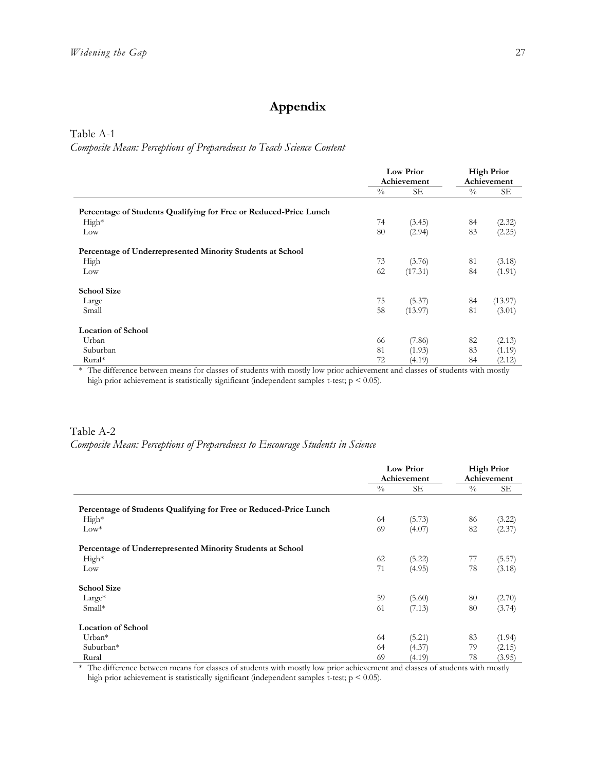# **Appendix**

# Table A-1 *Composite Mean: Perceptions of Preparedness to Teach Science Content*

|                                                                   | <b>Low Prior</b><br>Achievement |         | <b>High Prior</b><br>Achievement |         |
|-------------------------------------------------------------------|---------------------------------|---------|----------------------------------|---------|
|                                                                   | $\frac{0}{0}$                   | SЕ      | $\frac{0}{0}$                    | SЕ      |
| Percentage of Students Qualifying for Free or Reduced-Price Lunch |                                 |         |                                  |         |
| $High*$                                                           | 74                              | (3.45)  | 84                               | (2.32)  |
| Low                                                               | 80                              | (2.94)  | 83                               | (2.25)  |
| Percentage of Underrepresented Minority Students at School        |                                 |         |                                  |         |
| High                                                              | 73                              | (3.76)  | 81                               | (3.18)  |
| Low                                                               | 62                              | (17.31) | 84                               | (1.91)  |
| <b>School Size</b>                                                |                                 |         |                                  |         |
| Large                                                             | 75                              | (5.37)  | 84                               | (13.97) |
| Small                                                             | 58                              | (13.97) | 81                               | (3.01)  |
| <b>Location of School</b>                                         |                                 |         |                                  |         |
| Urban                                                             | 66                              | (7.86)  | 82                               | (2.13)  |
| Suburban                                                          | 81                              | (1.93)  | 83                               | (1.19)  |
| Rural*                                                            | 72                              | (4.19)  | 84                               | (2.12)  |

\* The difference between means for classes of students with mostly low prior achievement and classes of students with mostly high prior achievement is statistically significant (independent samples t-test; p < 0.05).

#### Table A-2

*Composite Mean: Perceptions of Preparedness to Encourage Students in Science*

|                                                                   | <b>Low Prior</b><br>Achievement |        | <b>High Prior</b><br>Achievement |        |
|-------------------------------------------------------------------|---------------------------------|--------|----------------------------------|--------|
|                                                                   |                                 |        |                                  |        |
|                                                                   | $\frac{0}{0}$                   | SЕ     | $\frac{0}{0}$                    | SЕ     |
| Percentage of Students Qualifying for Free or Reduced-Price Lunch |                                 |        |                                  |        |
| $High*$                                                           | 64                              | (5.73) | 86                               | (3.22) |
| $Low*$                                                            | 69                              | (4.07) | 82                               | (2.37) |
| Percentage of Underrepresented Minority Students at School        |                                 |        |                                  |        |
| $High*$                                                           | 62                              | (5.22) | 77                               | (5.57) |
| Low                                                               | 71                              | (4.95) | 78                               | (3.18) |
| <b>School Size</b>                                                |                                 |        |                                  |        |
| $Large*$                                                          | 59                              | (5.60) | 80                               | (2.70) |
| Small*                                                            | 61                              | (7.13) | 80                               | (3.74) |
| <b>Location of School</b>                                         |                                 |        |                                  |        |
| $Urban*$                                                          | 64                              | (5.21) | 83                               | (1.94) |
| Suburban*                                                         | 64                              | (4.37) | 79                               | (2.15) |
| Rural                                                             | 69                              | (4.19) | 78                               | (3.95) |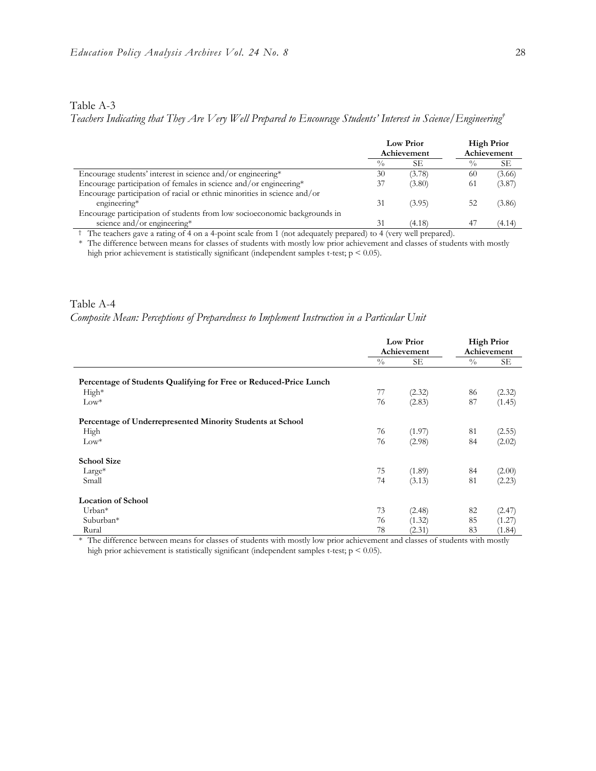# *Teachers Indicating that They Are Very Well Prepared to Encourage Students' Interest in Science/Engineering†*

|                                                                           |               | <b>Low Prior</b><br>Achievement | <b>High Prior</b><br>Achievement |        |
|---------------------------------------------------------------------------|---------------|---------------------------------|----------------------------------|--------|
|                                                                           | $\frac{0}{0}$ | SЕ                              | $\frac{0}{0}$                    | SЕ     |
| Encourage students' interest in science and/or engineering*               | 30            | (3.78)                          | 60                               | (3.66) |
| Encourage participation of females in science and/or engineering*         | 37            | (3.80)                          | 61                               | (3.87) |
| Encourage participation of racial or ethnic minorities in science and/or  |               |                                 |                                  |        |
| engineering*                                                              | 31            | (3.95)                          | 52                               | (3.86) |
| Encourage participation of students from low socioeconomic backgrounds in |               |                                 |                                  |        |
| science and/or engineering*                                               | 31            | (4.18)                          | $4^\circ$                        | (4.14) |

† The teachers gave a rating of 4 on a 4-point scale from 1 (not adequately prepared) to 4 (very well prepared).

\* The difference between means for classes of students with mostly low prior achievement and classes of students with mostly high prior achievement is statistically significant (independent samples t-test;  $p < 0.05$ ).

#### Table A-4

# *Composite Mean: Perceptions of Preparedness to Implement Instruction in a Particular Unit*

|                                                                   | <b>Low Prior</b><br>Achievement |           | <b>High Prior</b><br>Achievement |        |
|-------------------------------------------------------------------|---------------------------------|-----------|----------------------------------|--------|
|                                                                   |                                 |           |                                  |        |
|                                                                   | $\frac{0}{0}$                   | <b>SE</b> | $\frac{0}{0}$                    | SE     |
| Percentage of Students Qualifying for Free or Reduced-Price Lunch |                                 |           |                                  |        |
| $High*$                                                           | 77                              | (2.32)    | 86                               | (2.32) |
| $Low*$                                                            | 76                              | (2.83)    | 87                               | (1.45) |
| Percentage of Underrepresented Minority Students at School        |                                 |           |                                  |        |
| High                                                              | 76                              | (1.97)    | 81                               | (2.55) |
| $Low*$                                                            | 76                              | (2.98)    | 84                               | (2.02) |
| <b>School Size</b>                                                |                                 |           |                                  |        |
| $Large*$                                                          | 75                              | (1.89)    | 84                               | (2.00) |
| Small                                                             | 74                              | (3.13)    | 81                               | (2.23) |
| <b>Location of School</b>                                         |                                 |           |                                  |        |
| $Urban*$                                                          | 73                              | (2.48)    | 82                               | (2.47) |
| Suburban*                                                         | 76                              | (1.32)    | 85                               | (1.27) |
| Rural                                                             | 78                              | (2.31)    | 83                               | (1.84) |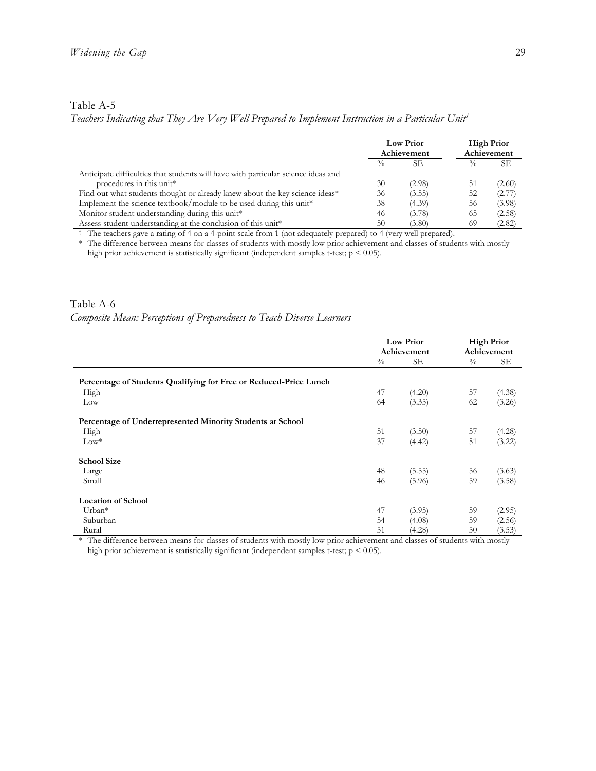# *Teachers Indicating that They Are Very Well Prepared to Implement Instruction in a Particular Unit†*

|                                                                                   | <b>Low Prior</b><br>Achievement |        | <b>High Prior</b><br>Achievement |        |
|-----------------------------------------------------------------------------------|---------------------------------|--------|----------------------------------|--------|
|                                                                                   | $\frac{0}{0}$                   | SE.    | $^{0}/_{0}$                      | SЕ     |
| Anticipate difficulties that students will have with particular science ideas and |                                 |        |                                  |        |
| procedures in this unit*                                                          | 30                              | (2.98) | 51                               | (2.60) |
| Find out what students thought or already knew about the key science ideas*       | 36                              | (3.55) | 52                               | (2.77) |
| Implement the science textbook/module to be used during this unit*                | 38                              | (4.39) | 56                               | (3.98) |
| Monitor student understanding during this unit*                                   | 46                              | (3.78) | 65                               | (2.58) |
| Assess student understanding at the conclusion of this unit*                      | 50                              | (3.80) | -69                              | (2.82) |

† The teachers gave a rating of 4 on a 4-point scale from 1 (not adequately prepared) to 4 (very well prepared).

\* The difference between means for classes of students with mostly low prior achievement and classes of students with mostly high prior achievement is statistically significant (independent samples t-test;  $p < 0.05$ ).

#### Table A-6

# *Composite Mean: Perceptions of Preparedness to Teach Diverse Learners*

|                                                                   | <b>Low Prior</b><br>Achievement |        | <b>High Prior</b> |             |
|-------------------------------------------------------------------|---------------------------------|--------|-------------------|-------------|
|                                                                   |                                 |        |                   | Achievement |
|                                                                   | $\frac{0}{0}$                   | SE     | $\frac{0}{0}$     | SE          |
| Percentage of Students Qualifying for Free or Reduced-Price Lunch |                                 |        |                   |             |
| High                                                              | 47                              | (4.20) | 57                | (4.38)      |
| Low                                                               | 64                              | (3.35) | 62                | (3.26)      |
| Percentage of Underrepresented Minority Students at School        |                                 |        |                   |             |
| High                                                              | 51                              | (3.50) | 57                | (4.28)      |
| $Low*$                                                            | 37                              | (4.42) | 51                | (3.22)      |
| <b>School Size</b>                                                |                                 |        |                   |             |
| Large                                                             | 48                              | (5.55) | 56                | (3.63)      |
| Small                                                             | 46                              | (5.96) | 59                | (3.58)      |
| <b>Location of School</b>                                         |                                 |        |                   |             |
| $Urban*$                                                          | 47                              | (3.95) | 59                | (2.95)      |
| Suburban                                                          | 54                              | (4.08) | 59                | (2.56)      |
| Rural                                                             | 51                              | (4.28) | 50                | (3.53)      |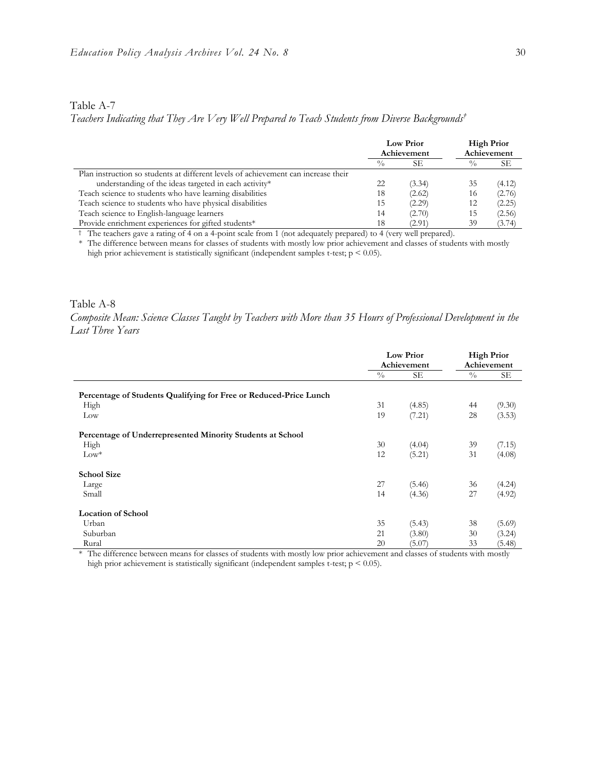# *Teachers Indicating that They Are Very Well Prepared to Teach Students from Diverse Backgrounds†*

|                                                                                    | <b>Low Prior</b><br>Achievement |        | <b>High Prior</b><br>Achievement |        |
|------------------------------------------------------------------------------------|---------------------------------|--------|----------------------------------|--------|
|                                                                                    | $\frac{0}{0}$                   | SE.    | $\frac{0}{0}$                    | SЕ     |
| Plan instruction so students at different levels of achievement can increase their |                                 |        |                                  |        |
| understanding of the ideas targeted in each activity*                              | 22                              | (3.34) | 35                               | (4.12) |
| Teach science to students who have learning disabilities                           | 18                              | (2.62) | 16                               | (2.76) |
| Teach science to students who have physical disabilities                           | 15                              | (2.29) | 12                               | (2.25) |
| Teach science to English-language learners                                         | 14                              | (2.70) | 15                               | (2.56) |
| Provide enrichment experiences for gifted students*                                | 18                              | (2.91) | 39                               | (3.74) |

† The teachers gave a rating of 4 on a 4-point scale from 1 (not adequately prepared) to 4 (very well prepared).

\* The difference between means for classes of students with mostly low prior achievement and classes of students with mostly high prior achievement is statistically significant (independent samples t-test;  $p \le 0.05$ ).

#### Table A-8

*Composite Mean: Science Classes Taught by Teachers with More than 35 Hours of Professional Development in the Last Three Years*

|                                                                   | <b>Low Prior</b><br>Achievement |        | <b>High Prior</b><br>Achievement |        |
|-------------------------------------------------------------------|---------------------------------|--------|----------------------------------|--------|
|                                                                   | $\frac{0}{0}$                   | SЕ     | $\frac{0}{0}$                    | SЕ     |
| Percentage of Students Qualifying for Free or Reduced-Price Lunch |                                 |        |                                  |        |
| High                                                              | 31                              | (4.85) | 44                               | (9.30) |
| Low                                                               | 19                              | (7.21) | 28                               | (3.53) |
| Percentage of Underrepresented Minority Students at School        |                                 |        |                                  |        |
| High                                                              | 30                              | (4.04) | 39                               | (7.15) |
| $Low*$                                                            | 12                              | (5.21) | 31                               | (4.08) |
| <b>School Size</b>                                                |                                 |        |                                  |        |
| Large                                                             | 27                              | (5.46) | 36                               | (4.24) |
| Small                                                             | 14                              | (4.36) | 27                               | (4.92) |
| <b>Location of School</b>                                         |                                 |        |                                  |        |
| Urban                                                             | 35                              | (5.43) | 38                               | (5.69) |
| Suburban                                                          | 21                              | (3.80) | 30                               | (3.24) |
| Rural                                                             | 20                              | (5.07) | 33                               | (5.48) |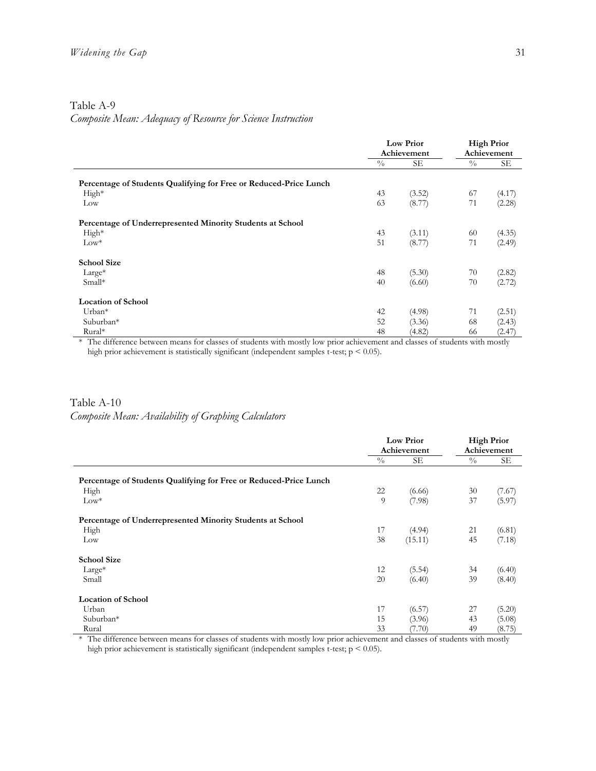$\overline{a}$ 

*Composite Mean: Adequacy of Resource for Science Instruction*

|                                                                   | <b>Low Prior</b><br>Achievement |        | <b>High Prior</b><br>Achievement |        |
|-------------------------------------------------------------------|---------------------------------|--------|----------------------------------|--------|
|                                                                   |                                 |        |                                  |        |
|                                                                   | $\frac{0}{0}$                   | SЕ     | $\frac{0}{0}$                    | SE     |
| Percentage of Students Qualifying for Free or Reduced-Price Lunch |                                 |        |                                  |        |
| High*                                                             | 43                              | (3.52) | 67                               | (4.17) |
| Low                                                               | 63                              | (8.77) | 71                               | (2.28) |
| Percentage of Underrepresented Minority Students at School        |                                 |        |                                  |        |
| High*                                                             | 43                              | (3.11) | 60                               | (4.35) |
| $Low*$                                                            | 51                              | (8.77) | 71                               | (2.49) |
| <b>School Size</b>                                                |                                 |        |                                  |        |
| $Large*$                                                          | 48                              | (5.30) | 70                               | (2.82) |
| Small*                                                            | 40                              | (6.60) | 70                               | (2.72) |
| <b>Location of School</b>                                         |                                 |        |                                  |        |
| $Urban*$                                                          | 42                              | (4.98) | 71                               | (2.51) |
| Suburban*                                                         | 52                              | (3.36) | 68                               | (2.43) |
| Rural*                                                            | 48                              | (4.82) | 66                               | (2.47) |

\* The difference between means for classes of students with mostly low prior achievement and classes of students with mostly high prior achievement is statistically significant (independent samples t-test; p < 0.05).

# Table A-10 *Composite Mean: Availability of Graphing Calculators*

|                                                                   | <b>Low Prior</b><br>Achievement |         | <b>High Prior</b><br>Achievement |        |
|-------------------------------------------------------------------|---------------------------------|---------|----------------------------------|--------|
|                                                                   |                                 |         |                                  |        |
|                                                                   | $\frac{0}{0}$                   | SE      | $\frac{0}{0}$                    | SЕ     |
| Percentage of Students Qualifying for Free or Reduced-Price Lunch |                                 |         |                                  |        |
| High                                                              | 22                              | (6.66)  | 30                               | (7.67) |
| $Low*$                                                            | 9                               | (7.98)  | 37                               | (5.97) |
| Percentage of Underrepresented Minority Students at School        |                                 |         |                                  |        |
| High                                                              | 17                              | (4.94)  | 21                               | (6.81) |
| Low                                                               | 38                              | (15.11) | 45                               | (7.18) |
| <b>School Size</b>                                                |                                 |         |                                  |        |
| $Large*$                                                          | 12                              | (5.54)  | 34                               | (6.40) |
| Small                                                             | 20                              | (6.40)  | 39                               | (8.40) |
| <b>Location of School</b>                                         |                                 |         |                                  |        |
| Urban                                                             | 17                              | (6.57)  | 27                               | (5.20) |
| Suburban*                                                         | 15                              | (3.96)  | 43                               | (5.08) |
| Rural                                                             | 33                              | (7.70)  | 49                               | (8.75) |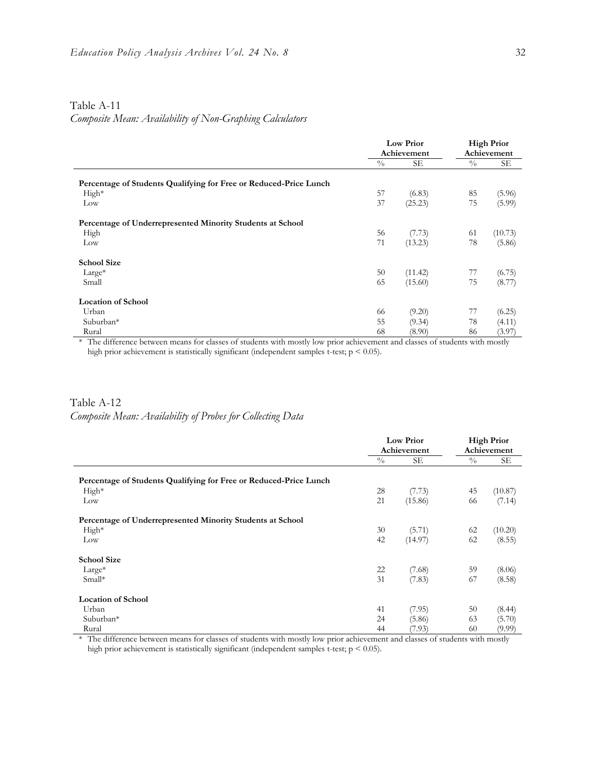$\overline{a}$ 

# *Composite Mean: Availability of Non-Graphing Calculators*

|                                                                   | <b>Low Prior</b><br>Achievement |         | <b>High Prior</b><br>Achievement |         |
|-------------------------------------------------------------------|---------------------------------|---------|----------------------------------|---------|
|                                                                   | $\frac{0}{0}$                   | SЕ      | $\frac{0}{0}$                    | SE      |
| Percentage of Students Qualifying for Free or Reduced-Price Lunch |                                 |         |                                  |         |
| High*                                                             | 57                              | (6.83)  | 85                               | (5.96)  |
| Low                                                               | 37                              | (25.23) | 75                               | (5.99)  |
| Percentage of Underrepresented Minority Students at School        |                                 |         |                                  |         |
| High                                                              | 56                              | (7.73)  | 61                               | (10.73) |
| Low                                                               | 71                              | (13.23) | 78                               | (5.86)  |
| <b>School Size</b>                                                |                                 |         |                                  |         |
| $Large*$                                                          | 50                              | (11.42) | 77                               | (6.75)  |
| Small                                                             | 65                              | (15.60) | 75                               | (8.77)  |
| <b>Location of School</b>                                         |                                 |         |                                  |         |
| Urban                                                             | 66                              | (9.20)  | 77                               | (6.25)  |
| Suburban*                                                         | 55                              | (9.34)  | 78                               | (4.11)  |
| Rural                                                             | 68                              | (8.90)  | 86                               | (3.97)  |

\* The difference between means for classes of students with mostly low prior achievement and classes of students with mostly high prior achievement is statistically significant (independent samples t-test; p < 0.05).

# Table A-12 *Composite Mean: Availability of Probes for Collecting Data*

|                                                                   | <b>Low Prior</b><br>Achievement |           | <b>High Prior</b><br>Achievement |           |
|-------------------------------------------------------------------|---------------------------------|-----------|----------------------------------|-----------|
|                                                                   |                                 |           |                                  |           |
|                                                                   | $\frac{0}{0}$                   | <b>SE</b> | $\frac{0}{0}$                    | <b>SE</b> |
| Percentage of Students Qualifying for Free or Reduced-Price Lunch |                                 |           |                                  |           |
| $High*$                                                           | 28                              | (7.73)    | 45                               | (10.87)   |
| Low                                                               | 21                              | (15.86)   | 66                               | (7.14)    |
|                                                                   |                                 |           |                                  |           |
| Percentage of Underrepresented Minority Students at School        |                                 |           |                                  |           |
| High*                                                             | 30                              | (5.71)    | 62                               | (10.20)   |
| Low                                                               | 42                              | (14.97)   | 62                               | (8.55)    |
|                                                                   |                                 |           |                                  |           |
| <b>School Size</b>                                                |                                 |           |                                  |           |
| $Large*$                                                          | 22                              | (7.68)    | 59                               | (8.06)    |
| Small*                                                            | 31                              | (7.83)    | 67                               | (8.58)    |
| <b>Location of School</b>                                         |                                 |           |                                  |           |
| Urban                                                             | 41                              | (7.95)    | 50                               | (8.44)    |
| Suburban*                                                         | 24                              | (5.86)    | 63                               | (5.70)    |
|                                                                   |                                 |           |                                  |           |
| Rural                                                             | 44                              | (7.93)    | 60                               | (9.99)    |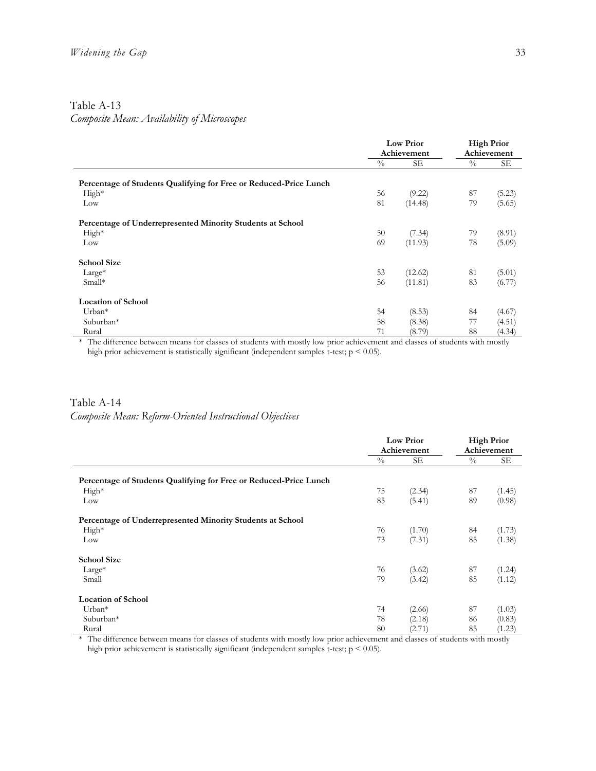# *Composite Mean: Availability of Microscopes*

|                                                                   | <b>Low Prior</b><br>Achievement |         | <b>High Prior</b><br>Achievement |        |
|-------------------------------------------------------------------|---------------------------------|---------|----------------------------------|--------|
|                                                                   | $\frac{0}{0}$                   | SЕ      | $\frac{0}{0}$                    | SЕ     |
| Percentage of Students Qualifying for Free or Reduced-Price Lunch |                                 |         |                                  |        |
|                                                                   | 56                              |         | 87                               |        |
| $High*$                                                           |                                 | (9.22)  |                                  | (5.23) |
| Low                                                               | 81                              | (14.48) | 79                               | (5.65) |
| Percentage of Underrepresented Minority Students at School        |                                 |         |                                  |        |
| High*                                                             | 50                              | (7.34)  | 79                               | (8.91) |
| Low                                                               | 69                              | (11.93) | 78                               | (5.09) |
| <b>School Size</b>                                                |                                 |         |                                  |        |
| $Large*$                                                          | 53                              | (12.62) | 81                               | (5.01) |
| Small*                                                            | 56                              |         | 83                               |        |
|                                                                   |                                 | (11.81) |                                  | (6.77) |
| <b>Location of School</b>                                         |                                 |         |                                  |        |
| $Urban*$                                                          | 54                              | (8.53)  | 84                               | (4.67) |
| Suburban*                                                         | 58                              | (8.38)  | 77                               | (4.51) |
| Rural                                                             | 71                              | (8.79)  | 88                               | (4.34) |

\* The difference between means for classes of students with mostly low prior achievement and classes of students with mostly high prior achievement is statistically significant (independent samples t-test; p < 0.05).

# Table A-14 *Composite Mean: Reform-Oriented Instructional Objectives*

|                                                                   | <b>Low Prior</b><br>Achievement |        | <b>High Prior</b><br>Achievement |        |
|-------------------------------------------------------------------|---------------------------------|--------|----------------------------------|--------|
|                                                                   |                                 |        |                                  |        |
|                                                                   | $\frac{0}{0}$                   | SE     | $\frac{0}{0}$                    | SЕ     |
| Percentage of Students Qualifying for Free or Reduced-Price Lunch |                                 |        |                                  |        |
| $High*$                                                           | 75                              | (2.34) | 87                               | (1.45) |
| Low                                                               | 85                              | (5.41) | 89                               | (0.98) |
| Percentage of Underrepresented Minority Students at School        |                                 |        |                                  |        |
| $High*$                                                           | 76                              | (1.70) | 84                               | (1.73) |
| Low                                                               | 73                              | (7.31) | 85                               | (1.38) |
| <b>School Size</b>                                                |                                 |        |                                  |        |
| $Large*$                                                          | 76                              | (3.62) | 87                               | (1.24) |
| Small                                                             | 79                              | (3.42) | 85                               | (1.12) |
| <b>Location of School</b>                                         |                                 |        |                                  |        |
| $Urban*$                                                          | 74                              | (2.66) | 87                               | (1.03) |
| Suburban*                                                         | 78                              | (2.18) | 86                               | (0.83) |
| Rural                                                             | 80                              | (2.71) | 85                               | (1.23) |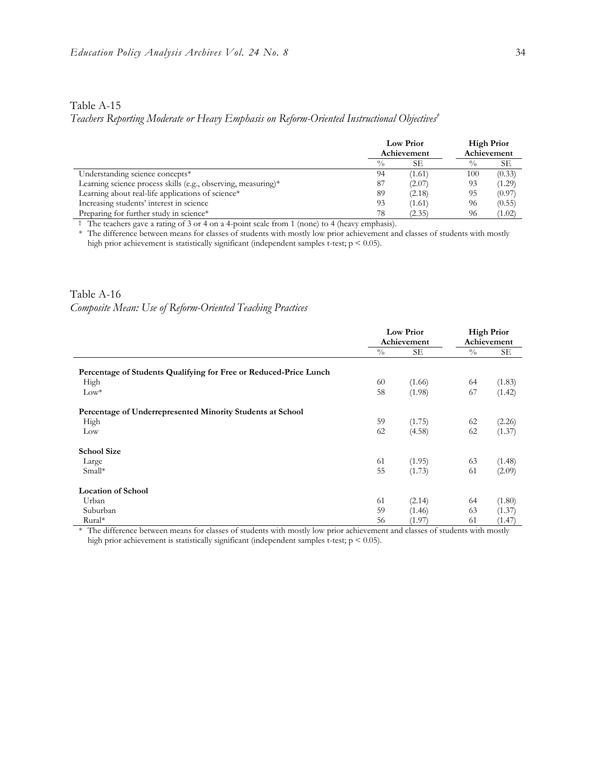# *Teachers Reporting Moderate or Heavy Emphasis on Reform-Oriented Instructional Objectives†*

|                                                               | <b>Low Prior</b><br>Achievement |        | <b>High Prior</b><br>Achievement |        |
|---------------------------------------------------------------|---------------------------------|--------|----------------------------------|--------|
|                                                               | $\frac{0}{0}$                   | SЕ     | $\frac{0}{0}$                    | SЕ     |
| Understanding science concepts*                               | 94                              | (1.61) | 100                              | (0.33) |
| Learning science process skills (e.g., observing, measuring)* | 87                              | (2.07) | 93                               | (1.29) |
| Learning about real-life applications of science*             | 89                              | (2.18) | 95                               | (0.97) |
| Increasing students' interest in science                      | 93                              | (1.61) | -96                              | (0.55) |
| Preparing for further study in science*                       | 78                              | (2.35) | 96                               | (1.02) |

† The teachers gave a rating of 3 or 4 on a 4-point scale from 1 (none) to 4 (heavy emphasis).

\* The difference between means for classes of students with mostly low prior achievement and classes of students with mostly high prior achievement is statistically significant (independent samples t-test;  $p < 0.05$ ).

# Table A-16 *Composite Mean: Use of Reform-Oriented Teaching Practices*

|                                                                   | <b>Low Prior</b><br>Achievement |        | <b>High Prior</b><br>Achievement |        |
|-------------------------------------------------------------------|---------------------------------|--------|----------------------------------|--------|
|                                                                   | $\frac{0}{0}$                   | SЕ     | $\frac{0}{0}$                    | SЕ     |
| Percentage of Students Qualifying for Free or Reduced-Price Lunch |                                 |        |                                  |        |
| High                                                              | 60                              | (1.66) | 64                               | (1.83) |
| $Low*$                                                            | 58                              | (1.98) | 67                               | (1.42) |
| Percentage of Underrepresented Minority Students at School        |                                 |        |                                  |        |
| High                                                              | 59                              | (1.75) | 62                               | (2.26) |
| Low                                                               | 62                              | (4.58) | 62                               | (1.37) |
| <b>School Size</b>                                                |                                 |        |                                  |        |
| Large                                                             | 61                              | (1.95) | 63                               | (1.48) |
| Small*                                                            | 55                              | (1.73) | 61                               | (2.09) |
| <b>Location of School</b>                                         |                                 |        |                                  |        |
| Urban                                                             | 61                              | (2.14) | 64                               | (1.80) |
| Suburban                                                          | 59                              | (1.46) | 63                               | (1.37) |
| Rural*                                                            | 56                              | (1.97) | 61                               | (1.47) |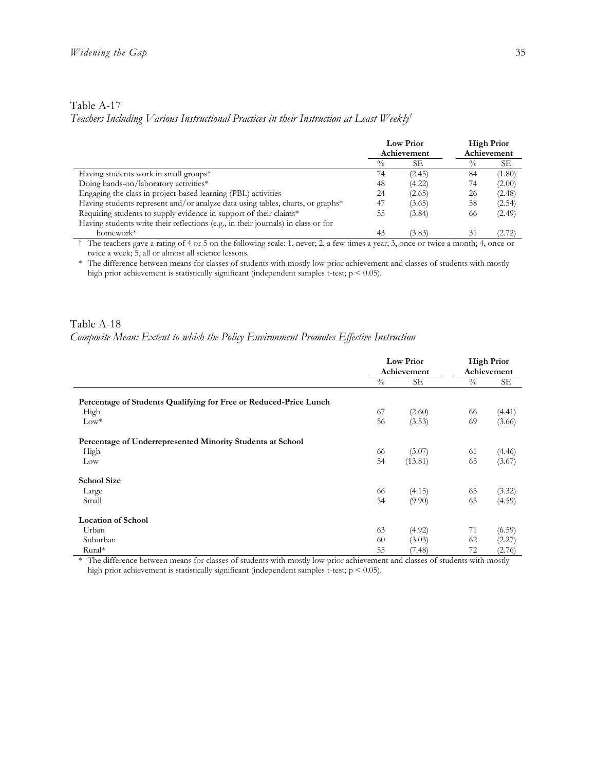# *Teachers Including Various Instructional Practices in their Instruction at Least Weekly†*

|                                                                                   | <b>Low Prior</b><br>Achievement |        |               | <b>High Prior</b><br>Achievement |  |
|-----------------------------------------------------------------------------------|---------------------------------|--------|---------------|----------------------------------|--|
|                                                                                   | $\frac{0}{0}$                   | SЕ     | $\frac{0}{0}$ | SЕ                               |  |
| Having students work in small groups*                                             | 74                              | (2.45) | 84            | (1.80)                           |  |
| Doing hands-on/laboratory activities*                                             | 48                              | (4.22) | 74            | (2.00)                           |  |
| Engaging the class in project-based learning (PBL) activities                     | 24                              | (2.65) | 26            | (2.48)                           |  |
| Having students represent and/or analyze data using tables, charts, or graphs*    | 47                              | (3.65) | 58            | (2.54)                           |  |
| Requiring students to supply evidence in support of their claims*                 | 55                              | (3.84) | 66            | (2.49)                           |  |
| Having students write their reflections (e.g., in their journals) in class or for |                                 |        |               |                                  |  |
| homework*                                                                         |                                 | (3.83) | 31            | (2.72)                           |  |

† The teachers gave a rating of 4 or 5 on the following scale: 1, never; 2, a few times a year; 3, once or twice a month; 4, once or twice a week; 5, all or almost all science lessons.

\* The difference between means for classes of students with mostly low prior achievement and classes of students with mostly high prior achievement is statistically significant (independent samples t-test; p < 0.05).

#### Table A-18

#### *Composite Mean: Extent to which the Policy Environment Promotes Effective Instruction*

|                                                                                                                                               | <b>Low Prior</b><br>Achievement |                                              | <b>High Prior</b><br>Achievement |                          |
|-----------------------------------------------------------------------------------------------------------------------------------------------|---------------------------------|----------------------------------------------|----------------------------------|--------------------------|
|                                                                                                                                               | $\frac{0}{0}$                   | SE.                                          | $\frac{0}{0}$                    | SЕ                       |
| Percentage of Students Qualifying for Free or Reduced-Price Lunch                                                                             |                                 |                                              |                                  |                          |
| High                                                                                                                                          | 67                              | (2.60)                                       | 66                               | (4.41)                   |
| $Low*$                                                                                                                                        | 56                              | (3.53)                                       | 69                               | (3.66)                   |
| Percentage of Underrepresented Minority Students at School                                                                                    |                                 |                                              |                                  |                          |
| High                                                                                                                                          | 66                              | (3.07)                                       | 61                               | (4.46)                   |
| Low                                                                                                                                           | 54                              | (13.81)                                      | 65                               | (3.67)                   |
| <b>School Size</b>                                                                                                                            |                                 |                                              |                                  |                          |
| Large                                                                                                                                         | 66                              | (4.15)                                       | 65                               | (3.32)                   |
| Small                                                                                                                                         | 54                              | (9.90)                                       | 65                               | (4.59)                   |
| <b>Location of School</b>                                                                                                                     |                                 |                                              |                                  |                          |
| Urban                                                                                                                                         | 63                              | (4.92)                                       | 71                               | (6.59)                   |
| Suburban                                                                                                                                      | 60                              | (3.03)                                       | 62                               | (2.27)                   |
| Rural*<br>$\sim$ $\sim$<br>$\sim$<br>$\cdot$<br>$\mathbf{A}$<br>$\sim$<br>$\sim$<br>$\sim$<br>$\sim$<br>$\sim$ $\sim$ $\sim$ $\sim$<br>$\sim$ | 55                              | (7.48)<br>$\sim$<br>$\overline{\phantom{a}}$ | 72<br>$\cdot$ $\cdot$            | (2.76)<br>$\overline{1}$ |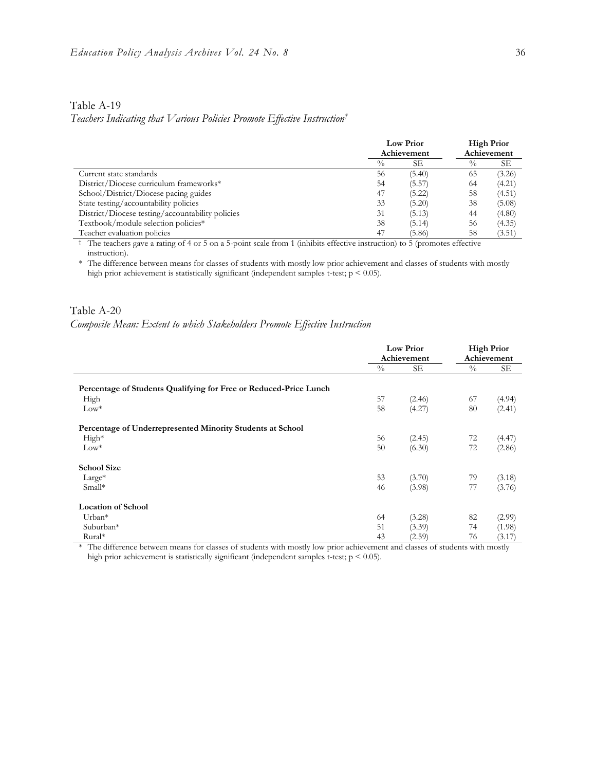#### *Teachers Indicating that Various Policies Promote Effective Instruction†*

|                                                  | <b>Low Prior</b><br>Achievement |        |               | <b>High Prior</b><br>Achievement |  |
|--------------------------------------------------|---------------------------------|--------|---------------|----------------------------------|--|
|                                                  | $\frac{0}{0}$                   | SЕ     | $\frac{0}{0}$ | SЕ                               |  |
| Current state standards                          | 56                              | (5.40) | 65            | (3.26)                           |  |
| District/Diocese curriculum frameworks*          | 54                              | (5.57) | 64            | (4.21)                           |  |
| School/District/Diocese pacing guides            | 47                              | (5.22) | 58            | (4.51)                           |  |
| State testing/accountability policies            | 33                              | (5.20) | 38            | (5.08)                           |  |
| District/Diocese testing/accountability policies | 31                              | (5.13) | 44            | (4.80)                           |  |
| Textbook/module selection policies*              | 38                              | (5.14) | 56            | (4.35)                           |  |
| Teacher evaluation policies                      | 47                              | (5.86) | 58            | (3.51)                           |  |

† The teachers gave a rating of 4 or 5 on a 5-point scale from 1 (inhibits effective instruction) to 5 (promotes effective instruction).

\* The difference between means for classes of students with mostly low prior achievement and classes of students with mostly high prior achievement is statistically significant (independent samples t-test; p < 0.05).

#### Table A-20

#### *Composite Mean: Extent to which Stakeholders Promote Effective Instruction*

|                                                                   | <b>Low Prior</b><br>Achievement |           | <b>High Prior</b><br>Achievement |        |
|-------------------------------------------------------------------|---------------------------------|-----------|----------------------------------|--------|
|                                                                   | $\frac{0}{0}$                   | <b>SE</b> | $\frac{0}{0}$                    | SE     |
| Percentage of Students Qualifying for Free or Reduced-Price Lunch |                                 |           |                                  |        |
| High                                                              | 57                              | (2.46)    | 67                               | (4.94) |
| $Low*$                                                            | 58                              | (4.27)    | 80                               | (2.41) |
| Percentage of Underrepresented Minority Students at School        |                                 |           |                                  |        |
| $High*$                                                           | 56                              | (2.45)    | 72                               | (4.47) |
| $Low*$                                                            | 50                              | (6.30)    | 72                               | (2.86) |
| <b>School Size</b>                                                |                                 |           |                                  |        |
| $Large*$                                                          | 53                              | (3.70)    | 79                               | (3.18) |
| Small*                                                            | 46                              | (3.98)    | 77                               | (3.76) |
| <b>Location of School</b>                                         |                                 |           |                                  |        |
| $Urban*$                                                          | 64                              | (3.28)    | 82                               | (2.99) |
| Suburban*                                                         | 51                              | (3.39)    | 74                               | (1.98) |
| Rural*                                                            | 43                              | (2.59)    | 76                               | (3.17) |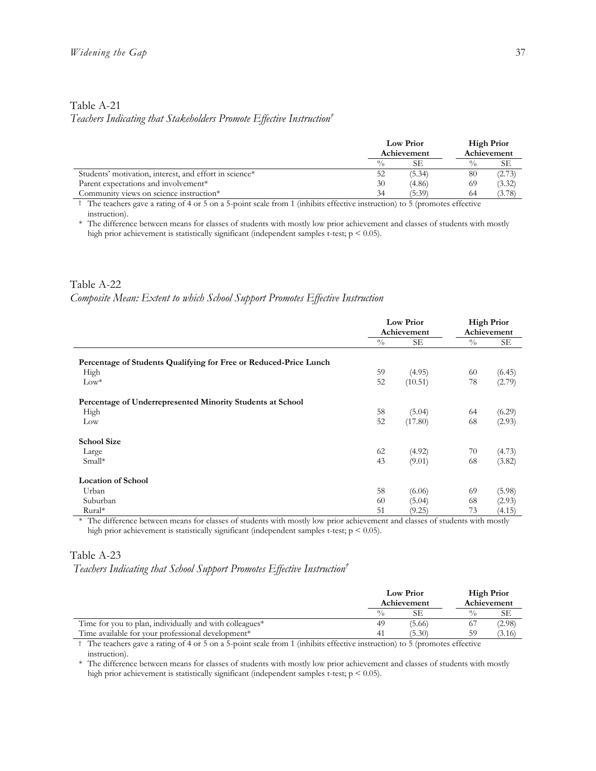#### *Teachers Indicating that Stakeholders Promote Effective Instruction†*

|                                                        | <b>Low Prior</b><br>Achievement |        |               | <b>High Prior</b><br>Achievement |  |
|--------------------------------------------------------|---------------------------------|--------|---------------|----------------------------------|--|
|                                                        | $\frac{0}{0}$                   |        | $\frac{0}{0}$ | SЕ                               |  |
| Students' motivation, interest, and effort in science* | 52                              | (5.34) | 80            | (2.73)                           |  |
| Parent expectations and involvement <sup>*</sup>       | 30                              | (4.86) | 69            | (3.32)                           |  |
| Community views on science instruction*                | 34                              | (5:39) | 64            | (3.78)                           |  |

† The teachers gave a rating of 4 or 5 on a 5-point scale from 1 (inhibits effective instruction) to 5 (promotes effective instruction).

\* The difference between means for classes of students with mostly low prior achievement and classes of students with mostly high prior achievement is statistically significant (independent samples t-test;  $p \le 0.05$ ).

#### Table A-22

#### *Composite Mean: Extent to which School Support Promotes Effective Instruction*

| Achievement<br>$\frac{0}{0}$<br>SE<br>Percentage of Students Qualifying for Free or Reduced-Price Lunch<br>59<br>High<br>(4.95)<br>(10.51)<br>$Low*$<br>52 | Achievement<br>$\frac{0}{0}$ | SЕ     |
|------------------------------------------------------------------------------------------------------------------------------------------------------------|------------------------------|--------|
|                                                                                                                                                            |                              |        |
|                                                                                                                                                            |                              |        |
|                                                                                                                                                            |                              |        |
|                                                                                                                                                            | 60                           | (6.45) |
|                                                                                                                                                            | 78                           | (2.79) |
| Percentage of Underrepresented Minority Students at School                                                                                                 |                              |        |
| High<br>58<br>(5.04)                                                                                                                                       | 64                           | (6.29) |
| 52<br>(17.80)<br>Low                                                                                                                                       | 68                           | (2.93) |
| <b>School Size</b>                                                                                                                                         |                              |        |
| 62<br>(4.92)<br>Large                                                                                                                                      | 70                           | (4.73) |
| Small*<br>43<br>(9.01)                                                                                                                                     | 68                           | (3.82) |
| <b>Location of School</b>                                                                                                                                  |                              |        |
| Urban<br>58<br>(6.06)                                                                                                                                      | 69                           | (5.98) |
| Suburban<br>60<br>(5.04)                                                                                                                                   | 68                           | (2.93) |
| Rural*<br>51<br>(9.25)                                                                                                                                     | 73                           | (4.15) |

\* The difference between means for classes of students with mostly low prior achievement and classes of students with mostly high prior achievement is statistically significant (independent samples t-test; p < 0.05).

#### Table A-23

*Teachers Indicating that School Support Promotes Effective Instruction†*

|                                                               | <b>Low Prior</b><br>Achievement |        |             | High Prior<br>Achievement |  |
|---------------------------------------------------------------|---------------------------------|--------|-------------|---------------------------|--|
|                                                               |                                 |        |             |                           |  |
|                                                               |                                 |        | $^{0}/_{0}$ | SЕ                        |  |
| Time for you to plan, individually and with colleagues*       | 49                              | (5.66) |             | (2.98)                    |  |
| Time available for your professional development <sup>*</sup> | 41                              | (5.30) | 59          | (3.16)                    |  |

† The teachers gave a rating of 4 or 5 on a 5-point scale from 1 (inhibits effective instruction) to 5 (promotes effective instruction).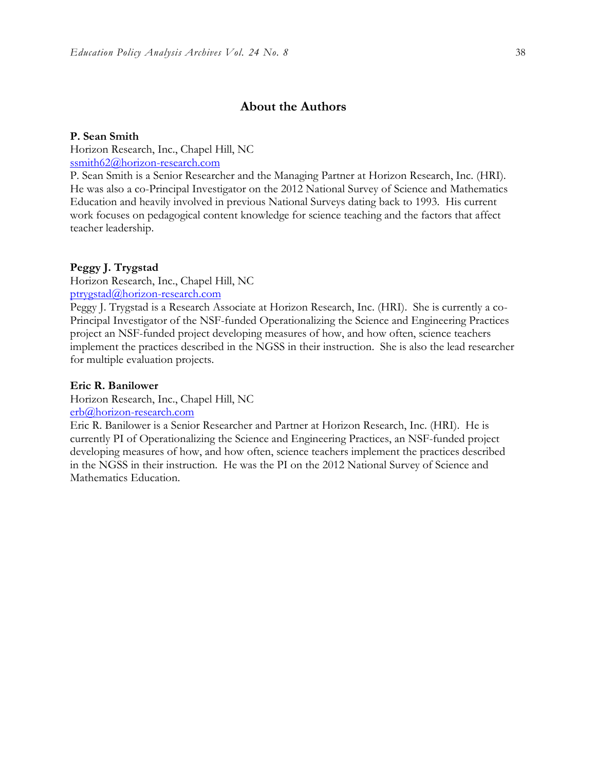# **About the Authors**

#### **P. Sean Smith**

Horizon Research, Inc., Chapel Hill, NC [ssmith62@horizon-research.com](mailto:ssmith62@horizon-research.com)

P. Sean Smith is a Senior Researcher and the Managing Partner at Horizon Research, Inc. (HRI). He was also a co-Principal Investigator on the 2012 National Survey of Science and Mathematics Education and heavily involved in previous National Surveys dating back to 1993. His current work focuses on pedagogical content knowledge for science teaching and the factors that affect teacher leadership.

#### **Peggy J. Trygstad**

Horizon Research, Inc., Chapel Hill, NC [ptrygstad@horizon-research.com](mailto:ptrygstad@horizon-research.com)

Peggy J. Trygstad is a Research Associate at Horizon Research, Inc. (HRI). She is currently a co-Principal Investigator of the NSF-funded Operationalizing the Science and Engineering Practices project an NSF-funded project developing measures of how, and how often, science teachers implement the practices described in the NGSS in their instruction. She is also the lead researcher for multiple evaluation projects.

# **Eric R. Banilower**

Horizon Research, Inc., Chapel Hill, NC [erb@horizon-research.com](mailto:erb@horizon-research.com)

Eric R. Banilower is a Senior Researcher and Partner at Horizon Research, Inc. (HRI). He is currently PI of Operationalizing the Science and Engineering Practices, an NSF-funded project developing measures of how, and how often, science teachers implement the practices described in the NGSS in their instruction. He was the PI on the 2012 National Survey of Science and Mathematics Education.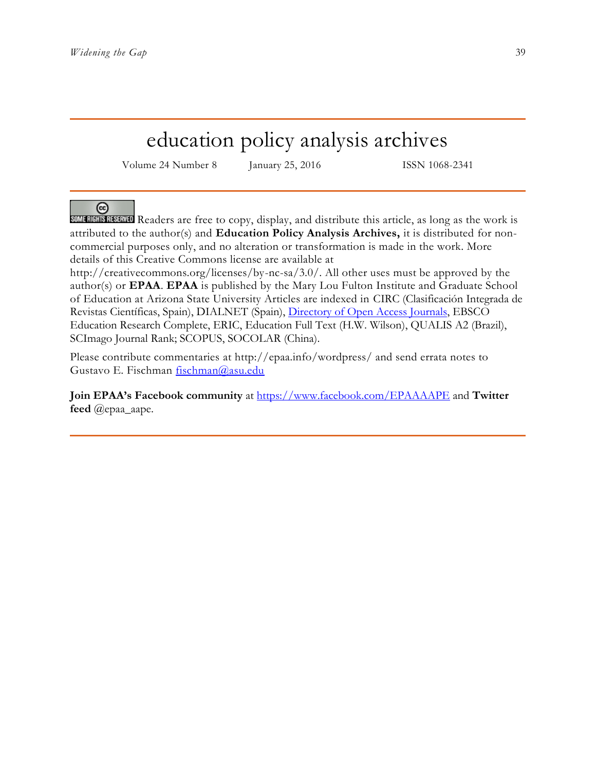☺

# education policy analysis archives

Volume 24 Number 8 January 25, 2016 ISSN 1068-2341

SOME RIGHTS RESERVED Readers are free to copy, display, and distribute this article, as long as the work is attributed to the author(s) and **Education Policy Analysis Archives,** it is distributed for noncommercial purposes only, and no alteration or transformation is made in the work. More details of this Creative Commons license are available at

http://creativecommons.org/licenses/by-nc-sa/3.0/. All other uses must be approved by the author(s) or **EPAA**. **EPAA** is published by the Mary Lou Fulton Institute and Graduate School of Education at Arizona State University Articles are indexed in CIRC (Clasificación Integrada de Revistas Científicas, Spain), DIALNET (Spain), [Directory of Open Access Journals,](http://www.doaj.org/) EBSCO Education Research Complete, ERIC, Education Full Text (H.W. Wilson), QUALIS A2 (Brazil), SCImago Journal Rank; SCOPUS, SOCOLAR (China).

Please contribute commentaries at http://epaa.info/wordpress/ and send errata notes to Gustavo E. Fischman [fischman@asu.edu](mailto:fischman@asu.edu)

**Join EPAA's Facebook community** at<https://www.facebook.com/EPAAAAPE> and **Twitter feed** @epaa\_aape.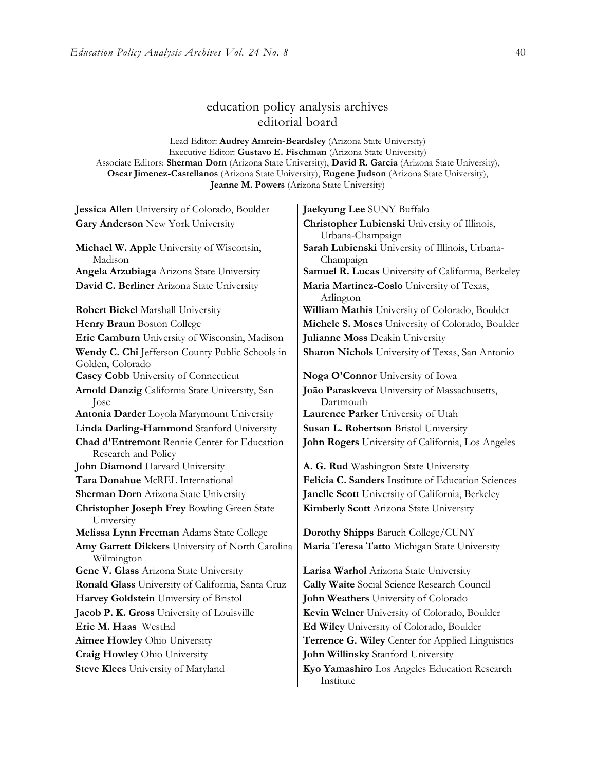# education policy analysis archives editorial board

Lead Editor: **Audrey Amrein-Beardsley** (Arizona State University) Executive Editor: **Gustavo E. Fischman** (Arizona State University) Associate Editors: **Sherman Dorn** (Arizona State University), **David R. Garcia** (Arizona State University), **Oscar Jimenez-Castellanos** (Arizona State University), **Eugene Judson** (Arizona State University), **Jeanne M. Powers** (Arizona State University)

| Jessica Allen University of Colorado, Boulder                       | Jaekyung Lee SUNY Buffalo                                 |  |
|---------------------------------------------------------------------|-----------------------------------------------------------|--|
| Gary Anderson New York University                                   | Christopher Lubienski University of Illinois,             |  |
|                                                                     | Urbana-Champaign                                          |  |
| Michael W. Apple University of Wisconsin,                           | Sarah Lubienski University of Illinois, Urbana-           |  |
| Madison                                                             | Champaign                                                 |  |
| Angela Arzubiaga Arizona State University                           | Samuel R. Lucas University of California, Berkeley        |  |
| David C. Berliner Arizona State University                          | Maria Martinez-Coslo University of Texas,<br>Arlington    |  |
| Robert Bickel Marshall University                                   | William Mathis University of Colorado, Boulder            |  |
| Henry Braun Boston College                                          | Michele S. Moses University of Colorado, Boulder          |  |
| Eric Camburn University of Wisconsin, Madison                       | Julianne Moss Deakin University                           |  |
| Wendy C. Chi Jefferson County Public Schools in                     | Sharon Nichols University of Texas, San Antonio           |  |
| Golden, Colorado                                                    |                                                           |  |
| Casey Cobb University of Connecticut                                | Noga O'Connor University of Iowa                          |  |
| Arnold Danzig California State University, San<br>Jose              | João Paraskveva University of Massachusetts,<br>Dartmouth |  |
| Antonia Darder Loyola Marymount University                          | Laurence Parker University of Utah                        |  |
| Linda Darling-Hammond Stanford University                           | Susan L. Robertson Bristol University                     |  |
| Chad d'Entremont Rennie Center for Education<br>Research and Policy | John Rogers University of California, Los Angeles         |  |
| John Diamond Harvard University                                     | A. G. Rud Washington State University                     |  |
| Tara Donahue McREL International                                    | Felicia C. Sanders Institute of Education Sciences        |  |
| Sherman Dorn Arizona State University                               | Janelle Scott University of California, Berkeley          |  |
| <b>Christopher Joseph Frey Bowling Green State</b><br>University    | Kimberly Scott Arizona State University                   |  |
| Melissa Lynn Freeman Adams State College                            | Dorothy Shipps Baruch College/CUNY                        |  |
| Amy Garrett Dikkers University of North Carolina<br>Wilmington      | Maria Teresa Tatto Michigan State University              |  |
| Gene V. Glass Arizona State University                              | Larisa Warhol Arizona State University                    |  |
| Ronald Glass University of California, Santa Cruz                   | Cally Waite Social Science Research Council               |  |
| Harvey Goldstein University of Bristol                              | John Weathers University of Colorado                      |  |
| Jacob P. K. Gross University of Louisville                          | Kevin Welner University of Colorado, Boulder              |  |
| Eric M. Haas WestEd                                                 | Ed Wiley University of Colorado, Boulder                  |  |
| Aimee Howley Ohio University                                        | Terrence G. Wiley Center for Applied Linguistics          |  |
| <b>Craig Howley Ohio University</b>                                 | John Willinsky Stanford University                        |  |
| Steve Klees University of Maryland                                  | Kyo Yamashiro Los Angeles Education Research<br>Institute |  |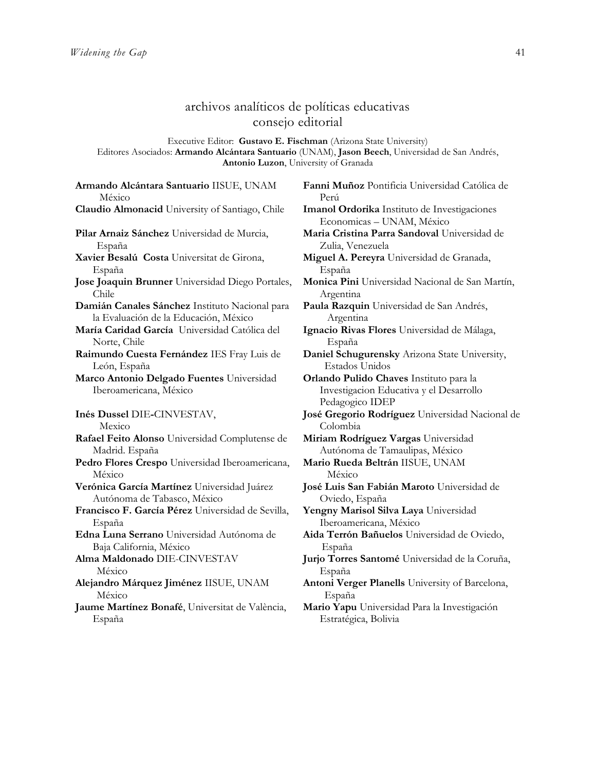# archivos analíticos de políticas educativas consejo editorial

Executive Editor: **Gustavo E. Fischman** (Arizona State University) Editores Asociados: **Armando Alcántara Santuario** (UNAM), **Jason Beech**, Universidad de San Andrés, **Antonio Luzon**, University of Granada

**Armando Alcántara Santuario** IISUE, UNAM México **Claudio Almonacid** University of Santiago, Chile **Imanol Ordorika** Instituto de Investigaciones **Pilar Arnaiz Sánchez** Universidad de Murcia, España **Xavier Besalú Costa** Universitat de Girona, España **Jose Joaquin Brunner** Universidad Diego Portales, Chile **Damián Canales Sánchez** Instituto Nacional para la Evaluación de la Educación, México **María Caridad García** Universidad Católica del Norte, Chile **Raimundo Cuesta Fernández** IES Fray Luis de León, España **Marco Antonio Delgado Fuentes** Universidad Iberoamericana, México **Inés Dussel** DIE**-**CINVESTAV, Mexico **Rafael Feito Alonso** Universidad Complutense de Madrid. España **Pedro Flores Crespo** Universidad Iberoamericana, México **Verónica García Martínez** Universidad Juárez Autónoma de Tabasco, México **Francisco F. García Pérez** Universidad de Sevilla, España **Edna Luna Serrano** Universidad Autónoma de Baja California, México **Alma Maldonado** DIE-CINVESTAV México **Alejandro Márquez Jiménez** IISUE, UNAM México **Jaume Martínez Bonafé**, Universitat de València, España

**Fanni Muñoz** Pontificia Universidad Católica de Perú Economicas – UNAM, México **Maria Cristina Parra Sandoval** Universidad de Zulia, Venezuela **Miguel A. Pereyra** Universidad de Granada, España **Monica Pini** Universidad Nacional de San Martín, Argentina **Paula Razquin** Universidad de San Andrés, Argentina **Ignacio Rivas Flores** Universidad de Málaga, España **Daniel Schugurensky** Arizona State University, Estados Unidos **Orlando Pulido Chaves** Instituto para la Investigacion Educativa y el Desarrollo Pedagogico IDEP **José Gregorio Rodríguez** Universidad Nacional de Colombia **Miriam Rodríguez Vargas** Universidad Autónoma de Tamaulipas, México **Mario Rueda Beltrán** IISUE, UNAM México **José Luis San Fabián Maroto** Universidad de Oviedo, España **Yengny Marisol Silva Laya** Universidad Iberoamericana, México **Aida Terrón Bañuelos** Universidad de Oviedo, España **Jurjo Torres Santomé** Universidad de la Coruña, España **Antoni Verger Planells** University of Barcelona, España **Mario Yapu** Universidad Para la Investigación Estratégica, Bolivia